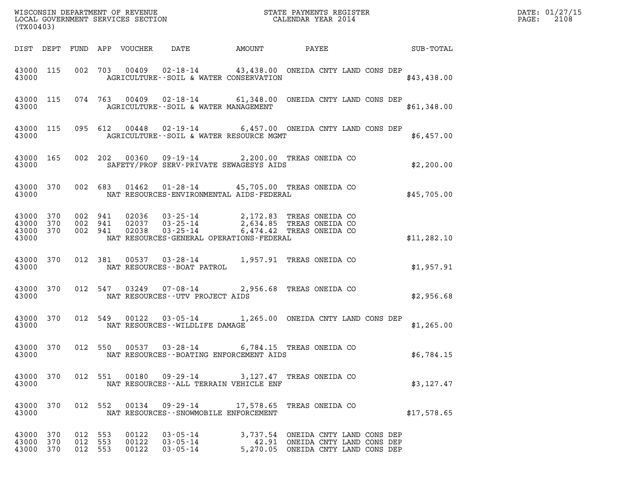| (TX00403)                           |                  |                               |         |                                 |                                              |                                                                                                                                     |                        | DATE: 01/27/15<br>$\mathtt{PAGE:}$<br>2108 |
|-------------------------------------|------------------|-------------------------------|---------|---------------------------------|----------------------------------------------|-------------------------------------------------------------------------------------------------------------------------------------|------------------------|--------------------------------------------|
|                                     |                  |                               |         | DIST DEPT FUND APP VOUCHER DATE |                                              |                                                                                                                                     | AMOUNT PAYEE SUB-TOTAL |                                            |
| 43000                               | 43000 115        |                               |         |                                 | AGRICULTURE--SOIL & WATER CONSERVATION       | 002 703 00409 02-18-14 43,438.00 ONEIDA CNTY LAND CONS DEP                                                                          | \$43,438.00            |                                            |
| 43000                               |                  |                               |         |                                 | AGRICULTURE--SOIL & WATER MANAGEMENT         | 43000 115 074 763 00409 02-18-14 61,348.00 ONEIDA CNTY LAND CONS DEP                                                                | \$61,348.00            |                                            |
| 43000                               |                  |                               |         |                                 | AGRICULTURE--SOIL & WATER RESOURCE MGMT      | 43000 115 095 612 00448 02-19-14 6,457.00 ONEIDA CNTY LAND CONS DEP                                                                 | \$6,457.00             |                                            |
| 43000                               | 43000 165        |                               |         |                                 | SAFETY/PROF SERV-PRIVATE SEWAGESYS AIDS      | 002 202 00360 09-19-14 2,200.00 TREAS ONEIDA CO                                                                                     | \$2,200.00             |                                            |
| 43000                               | 43000 370        |                               |         |                                 | NAT RESOURCES-ENVIRONMENTAL AIDS-FEDERAL     | 002 683 01462 01-28-14 45,705.00 TREAS ONEIDA CO                                                                                    | \$45,705.00            |                                            |
| 43000 370<br>43000<br>43000         | 370<br>43000 370 | 002 941<br>002 941            | 002 941 |                                 | NAT RESOURCES-GENERAL OPERATIONS-FEDERAL     | 02036  03-25-14  2,172.83 TREAS ONEIDA CO<br>02037  03-25-14  2,634.85 TREAS ONEIDA CO<br>02038  03-25-14  6,474.42 TREAS ONEIDA CO | \$11, 282.10           |                                            |
| 43000                               | 43000 370        |                               |         |                                 | NAT RESOURCES--BOAT PATROL                   | 012 381 00537 03-28-14 1,957.91 TREAS ONEIDA CO                                                                                     | \$1,957.91             |                                            |
| 43000                               |                  |                               |         |                                 | NAT RESOURCES--UTV PROJECT AIDS              | 43000 370 012 547 03249 07-08-14 2,956.68 TREAS ONEIDA CO                                                                           | \$2,956.68             |                                            |
| 43000                               | 43000 370        |                               |         |                                 | NAT RESOURCES -- WILDLIFE DAMAGE             | 012 549 00122 03-05-14 1,265.00 ONEIDA CNTY LAND CONS DEP                                                                           | \$1,265.00             |                                            |
| 43000                               |                  |                               |         |                                 | NAT RESOURCES - - BOATING ENFORCEMENT AIDS   | 43000 370 012 550 00537 03-28-14 6,784.15 TREAS ONEIDA CO                                                                           | \$6,784.15             |                                            |
| 43000 370<br>43000                  |                  |                               |         |                                 | NAT RESOURCES--ALL TERRAIN VEHICLE ENF       | 012 551 00180 09-29-14 3,127.47 TREAS ONEIDA CO                                                                                     | \$3,127.47             |                                            |
| 43000 370<br>43000                  |                  |                               |         |                                 | NAT RESOURCES - - SNOWMOBILE ENFORCEMENT     | 012 552 00134 09-29-14 17,578.65 TREAS ONEIDA CO                                                                                    | \$17,578.65            |                                            |
| 43000 370<br>43000 370<br>43000 370 |                  | 012 553<br>012 553<br>012 553 |         | 00122<br>00122<br>00122         | $03 - 05 - 14$<br>$03 - 05 - 14$<br>03-05-14 | 3,737.54 ONEIDA CNTY LAND CONS DEP<br>42.91 ONEIDA CNTY LAND CONS DEP<br>5,270.05 ONEIDA CNTY LAND CONS DEP                         |                        |                                            |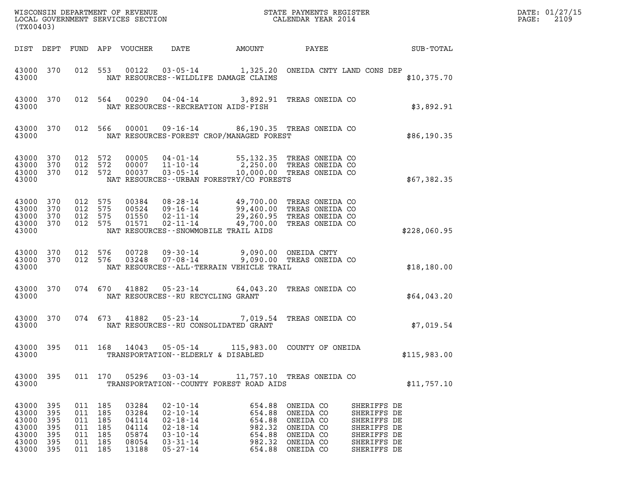| DATE: | 01/27/15 |
|-------|----------|
| PAGE: | 2109     |

| (TX00403)                                                           |                                 |                                                                           |         | WISCONSIN DEPARTMENT OF REVENUE<br>LOCAL GOVERNMENT SERVICES SECTION |                                                                                                                                               |                                     | STATE PAYMENTS REGISTER<br>CALENDAR YEAR 2014                                                   |                                                                                                                                     | DATE: 01/27/15<br>PAGE:<br>2109 |
|---------------------------------------------------------------------|---------------------------------|---------------------------------------------------------------------------|---------|----------------------------------------------------------------------|-----------------------------------------------------------------------------------------------------------------------------------------------|-------------------------------------|-------------------------------------------------------------------------------------------------|-------------------------------------------------------------------------------------------------------------------------------------|---------------------------------|
| DIST DEPT                                                           |                                 |                                                                           |         | FUND APP VOUCHER                                                     | DATE                                                                                                                                          | <b>AMOUNT</b>                       | PAYEE                                                                                           | SUB-TOTAL                                                                                                                           |                                 |
| 43000 370<br>43000                                                  |                                 |                                                                           | 012 553 | 00122                                                                | 03-05-14 1,325.20 ONEIDA CNTY LAND CONS DEP<br>NAT RESOURCES--WILDLIFE DAMAGE CLAIMS                                                          |                                     |                                                                                                 | \$10,375.70                                                                                                                         |                                 |
| 43000 370<br>43000                                                  |                                 |                                                                           | 012 564 |                                                                      | 00290  04-04-14  3,892.91  TREAS ONEIDA CO<br>NAT RESOURCES - - RECREATION AIDS - FISH                                                        |                                     |                                                                                                 | \$3,892.91                                                                                                                          |                                 |
| 43000 370<br>43000                                                  |                                 | 012 566                                                                   |         | 00001                                                                | 09-16-14 86,190.35 TREAS ONEIDA CO<br>NAT RESOURCES-FOREST CROP/MANAGED FOREST                                                                |                                     |                                                                                                 | \$86,190.35                                                                                                                         |                                 |
| 43000<br>43000<br>43000<br>43000                                    | 370<br>370<br>370               | 012 572<br>012<br>012 572                                                 | 572     | 00005<br>00007<br>00037                                              | 04-01-14 55,132.35 TREAS ONEIDA CO<br>$11 - 10 - 14$<br>03-05-14<br>NAT RESOURCES - - URBAN FORESTRY/CO FORESTS                               |                                     | 2,250.00 TREAS ONEIDA CO<br>10,000.00 TREAS ONEIDA CO                                           | \$67,382.35                                                                                                                         |                                 |
| 43000<br>43000<br>43000<br>43000<br>43000                           | 370<br>370<br>370<br>370        | 012 575<br>012<br>012 575<br>012 575                                      | 575     | 00384<br>00524<br>01550<br>01571                                     | 08-28-14 49,700.00 TREAS ONEIDA CO<br>09-16-14<br>02-11-14<br>$02 - 11 - 14$<br>NAT RESOURCES - - SNOWMOBILE TRAIL AIDS                       | 99,400.00<br>29,260.95<br>49,700.00 | TREAS ONEIDA CO<br>TREAS ONEIDA CO<br>TREAS ONEIDA CO                                           | \$228,060.95                                                                                                                        |                                 |
| 43000<br>43000<br>43000                                             | 370<br>370                      | 012<br>012 576                                                            | 576     | 00728<br>03248                                                       | 09-30-14<br>07-08-14<br>NAT RESOURCES--ALL-TERRAIN VEHICLE TRAIL                                                                              | 9,090.00 ONEIDA CNTY                | 9,090.00 TREAS ONEIDA CO                                                                        | \$18,180.00                                                                                                                         |                                 |
| 43000 370<br>43000                                                  |                                 |                                                                           | 074 670 | 41882                                                                | $05 - 23 - 14$<br>NAT RESOURCES--RU RECYCLING GRANT                                                                                           |                                     | 64,043.20 TREAS ONEIDA CO                                                                       | \$64,043.20                                                                                                                         |                                 |
| 43000 370<br>43000                                                  |                                 |                                                                           | 074 673 | 41882                                                                | 05-23-14 7,019.54 TREAS ONEIDA CO<br>NAT RESOURCES -- RU CONSOLIDATED GRANT                                                                   |                                     |                                                                                                 | \$7,019.54                                                                                                                          |                                 |
| 43000 395<br>43000                                                  |                                 |                                                                           | 011 168 | 14043                                                                | $05 - 05 - 14$<br>TRANSPORTATION--ELDERLY & DISABLED                                                                                          |                                     | 115,983.00 COUNTY OF ONEIDA                                                                     | \$115,983.00                                                                                                                        |                                 |
| 43000                                                               |                                 |                                                                           |         |                                                                      | 43000 395 011 170 05296 03-03-14 11,757.10 TREAS ONEIDA CO<br>TRANSPORTATION--COUNTY FOREST ROAD AIDS                                         |                                     |                                                                                                 | \$11,757.10                                                                                                                         |                                 |
| 43000 395<br>43000<br>43000<br>43000<br>43000<br>43000<br>43000 395 | 395<br>395<br>395<br>395<br>395 | 011 185<br>011 185<br>011 185<br>011 185<br>011 185<br>011 185<br>011 185 |         | 03284<br>03284<br>04114<br>04114<br>05874<br>08054<br>13188          | $02 - 10 - 14$<br>$02 - 10 - 14$<br>02 - 18 - 14<br>02 - 18 - 14<br>$03 - 10 - 14$<br>03-31-14<br>03-31-14 982.32 ONEIDA CO<br>$05 - 27 - 14$ | 654.88<br>654.88<br>982.32          | ONEIDA CO<br>ONEIDA CO<br>654.88 ONEIDA CO<br>ONEIDA CO<br>654.88 ONEIDA CO<br>654.88 ONEIDA CO | SHERIFFS DE<br>SHERIFFS DE<br>SHERIFFS DE<br>SHERIFFS DE<br>SHERIFFS DE<br>SHERIFFS DE<br>SHERIFFS DE<br>SHERIFFS DE<br>SHERIFFS DE |                                 |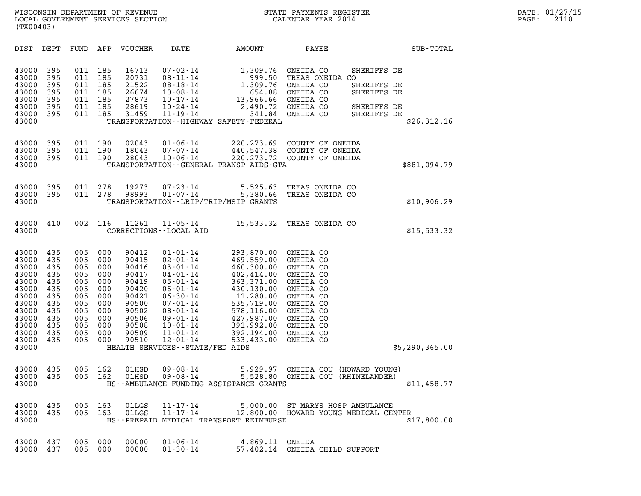| (TX00403)                                                                                                                  |                                                                                         |                                                                                         |                                                                                         |                                                                                                                   |                                                                                                                                                                                                                                                                           |                                                                                                                                                                                    |                                                                                                                                                                       |                                                                         |                  |
|----------------------------------------------------------------------------------------------------------------------------|-----------------------------------------------------------------------------------------|-----------------------------------------------------------------------------------------|-----------------------------------------------------------------------------------------|-------------------------------------------------------------------------------------------------------------------|---------------------------------------------------------------------------------------------------------------------------------------------------------------------------------------------------------------------------------------------------------------------------|------------------------------------------------------------------------------------------------------------------------------------------------------------------------------------|-----------------------------------------------------------------------------------------------------------------------------------------------------------------------|-------------------------------------------------------------------------|------------------|
| DIST                                                                                                                       | DEPT                                                                                    | FUND                                                                                    | APP                                                                                     | VOUCHER                                                                                                           | DATE                                                                                                                                                                                                                                                                      | AMOUNT                                                                                                                                                                             | PAYEE                                                                                                                                                                 |                                                                         | <b>SUB-TOTAL</b> |
| 43000<br>43000<br>43000<br>43000<br>43000<br>43000<br>43000<br>43000                                                       | 395<br>395<br>395<br>395<br>395<br>395<br>395                                           | 011<br>011<br>011<br>011<br>011<br>011<br>011                                           | 185<br>185<br>185<br>185<br>185<br>185<br>185                                           | 16713<br>20731<br>21522<br>26674<br>27873<br>28619<br>31459                                                       | $07 - 02 - 14$<br>$08 - 11 - 14$<br>$08 - 18 - 14$<br>$10 - 08 - 14$<br>$10 - 17 - 14$<br>$10 - 24 - 14$<br>11-19-14                                                                                                                                                      | 1,309.76<br>999.50<br>1,309.76<br>654.88<br>13,966.66<br>341.84<br>TRANSPORTATION - - HIGHWAY SAFETY - FEDERAL                                                                     | ONEIDA CO<br>TREAS ONEIDA CO<br>ONEIDA CO<br>ONEIDA CO<br>ONEIDA CO<br>2,490.72 ONEIDA CO<br>ONEIDA CO                                                                | SHERIFFS DE<br>SHERIFFS DE<br>SHERIFFS DE<br>SHERIFFS DE<br>SHERIFFS DE | \$26,312.16      |
| 43000<br>43000<br>43000<br>43000                                                                                           | 395<br>395<br>395                                                                       | 011<br>011<br>011                                                                       | 190<br>190<br>190                                                                       | 02043<br>18043<br>28043                                                                                           | $01 - 06 - 14$<br>$07 - 07 - 14$<br>$10 - 06 - 14$                                                                                                                                                                                                                        | 220,273.69<br>TRANSPORTATION--GENERAL TRANSP AIDS-GTA                                                                                                                              | COUNTY OF ONEIDA<br>440,547.38 COUNTY OF ONEIDA<br>220, 273.72 COUNTY OF ONEIDA                                                                                       |                                                                         | \$881,094.79     |
| 43000<br>43000<br>43000                                                                                                    | 395<br>395                                                                              | 011<br>011                                                                              | 278<br>278                                                                              | 19273<br>98993                                                                                                    | $07 - 23 - 14$<br>$01 - 07 - 14$                                                                                                                                                                                                                                          | 5,525.63<br>5,380.66<br>TRANSPORTATION - - LRIP/TRIP/MSIP GRANTS                                                                                                                   | TREAS ONEIDA CO<br>TREAS ONEIDA CO                                                                                                                                    |                                                                         | \$10,906.29      |
| 43000<br>43000                                                                                                             | 410                                                                                     | 002                                                                                     | 116                                                                                     | 11261                                                                                                             | $11 - 05 - 14$<br>CORRECTIONS - - LOCAL AID                                                                                                                                                                                                                               | 15,533.32                                                                                                                                                                          | TREAS ONEIDA CO                                                                                                                                                       |                                                                         | \$15,533.32      |
| 43000<br>43000<br>43000<br>43000<br>43000<br>43000<br>43000<br>43000<br>43000<br>43000<br>43000<br>43000<br>43000<br>43000 | 435<br>435<br>435<br>435<br>435<br>435<br>435<br>435<br>435<br>435<br>435<br>435<br>435 | 005<br>005<br>005<br>005<br>005<br>005<br>005<br>005<br>005<br>005<br>005<br>005<br>005 | 000<br>000<br>000<br>000<br>000<br>000<br>000<br>000<br>000<br>000<br>000<br>000<br>000 | 90412<br>90415<br>90416<br>90417<br>90419<br>90420<br>90421<br>90500<br>90502<br>90506<br>90508<br>90509<br>90510 | $01 - 01 - 14$<br>$02 - 01 - 14$<br>$03 - 01 - 14$<br>$04 - 01 - 14$<br>$05 - 01 - 14$<br>$06 - 01 - 14$<br>$06 - 30 - 14$<br>$07 - 01 - 14$<br>$08 - 01 - 14$<br>$09 - 01 - 14$<br>$10 - 01 - 14$<br>$11 - 01 - 14$<br>$12 - 01 - 14$<br>HEALTH SERVICES--STATE/FED AIDS | 293,870.00<br>469,559.00<br>460,300.00<br>402,414.00<br>363, 371.00<br>430,130.00<br>11,280.00<br>535,719.00<br>578,116.00<br>427,987.00<br>391,992.00<br>392,194.00<br>533,433.00 | ONEIDA CO<br>ONEIDA CO<br>ONEIDA CO<br>ONEIDA CO<br>ONEIDA CO<br>ONEIDA CO<br>ONEIDA CO<br>ONEIDA CO<br>ONEIDA CO<br>ONEIDA CO<br>ONEIDA CO<br>ONEIDA CO<br>ONEIDA CO |                                                                         | \$5,290,365.00   |
| 43000<br>43000<br>43000                                                                                                    | 435<br>435                                                                              | 005<br>005                                                                              | 162<br>162                                                                              | 01HSD<br>01HSD                                                                                                    | $09 - 08 - 14$<br>$09 - 08 - 14$                                                                                                                                                                                                                                          | 5,528.80<br>HS--AMBULANCE FUNDING ASSISTANCE GRANTS                                                                                                                                | 5,929.97 ONEIDA COU (HOWARD YOUNG)<br>ONEIDA COU (RHINELANDER)                                                                                                        |                                                                         | \$11,458.77      |
| 43000<br>43000<br>43000                                                                                                    | 435<br>435                                                                              | 005<br>005                                                                              | 163<br>163                                                                              | 01LGS<br>01LGS                                                                                                    | 11-17-14<br>$11 - 17 - 14$                                                                                                                                                                                                                                                | HS--PREPAID MEDICAL TRANSPORT REIMBURSE                                                                                                                                            | 5,000.00 ST MARYS HOSP AMBULANCE<br>12,800.00 HOWARD YOUNG MEDICAL CENTER                                                                                             |                                                                         | \$17,800.00      |
| 43000<br>43000                                                                                                             | 437<br>437                                                                              | 005<br>005                                                                              | 000<br>000                                                                              | 00000<br>00000                                                                                                    | $01 - 06 - 14$<br>$01 - 30 - 14$                                                                                                                                                                                                                                          | 4,869.11<br>57,402.14                                                                                                                                                              | ONEIDA<br>ONEIDA CHILD SUPPORT                                                                                                                                        |                                                                         |                  |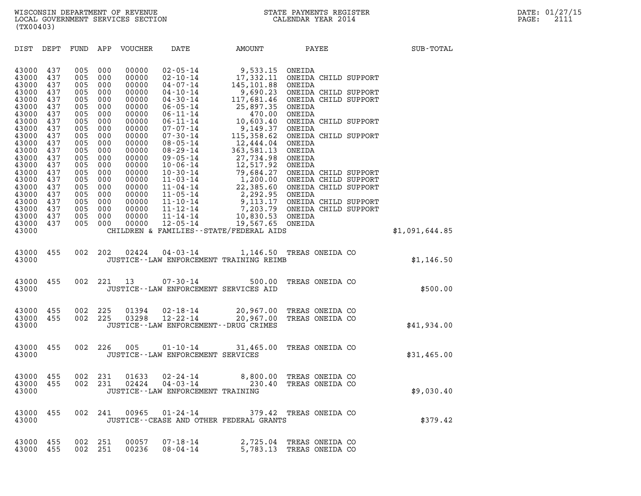|                                  | (TX00403)                |                          |                          |                                  |                                                                                 |                                                                                          |                                                                                                   |  |                |
|----------------------------------|--------------------------|--------------------------|--------------------------|----------------------------------|---------------------------------------------------------------------------------|------------------------------------------------------------------------------------------|---------------------------------------------------------------------------------------------------|--|----------------|
| DIST                             | DEPT                     | FUND                     | APP                      | VOUCHER                          | DATE                                                                            | AMOUNT                                                                                   | PAYEE                                                                                             |  | SUB-TOTAL      |
| 43000<br>43000<br>43000          | 437<br>437<br>437        | 005<br>005<br>005        | 000<br>000<br>000        | 00000<br>00000<br>00000          | $02 - 05 - 14$<br>$02 - 10 - 14$<br>$04 - 07 - 14$                              | 9,533.15<br>17,332.11<br>145,101.88                                                      | ONEIDA<br>ONEIDA CHILD SUPPORT<br>ONEIDA                                                          |  |                |
| 43000<br>43000<br>43000<br>43000 | 437<br>437<br>437<br>437 | 005<br>005<br>005<br>005 | 000<br>000<br>000<br>000 | 00000<br>00000<br>00000<br>00000 | $04 - 10 - 14$<br>$04 - 30 - 14$<br>$06 - 05 - 14$<br>$06 - 11 - 14$            | 9,690.23<br>117,681.46<br>25,897.35<br>470.00                                            | ONEIDA CHILD SUPPORT<br>ONEIDA CHILD SUPPORT<br>ONEIDA<br>ONEIDA                                  |  |                |
| 43000<br>43000                   | 437<br>437               | 005<br>005               | 000<br>000               | 00000<br>00000                   | $06 - 11 - 14$<br>$07 - 07 - 14$                                                | 10,603.40<br>9,149.37                                                                    | ONEIDA CHILD SUPPORT<br>ONEIDA                                                                    |  |                |
| 43000<br>43000<br>43000<br>43000 | 437<br>437<br>437<br>437 | 005<br>005<br>005<br>005 | 000<br>000<br>000<br>000 | 00000<br>00000<br>00000<br>00000 | $07 - 30 - 14$<br>$08 - 05 - 14$<br>$08 - 29 - 14$<br>$09 - 05 - 14$            | 115,358.62<br>12,444.04<br>363,581.13<br>27,734.98                                       | ONEIDA CHILD SUPPORT<br>ONEIDA<br>ONEIDA<br>ONEIDA                                                |  |                |
| 43000<br>43000<br>43000<br>43000 | 437<br>437<br>437<br>437 | 005<br>005<br>005<br>005 | 000<br>000<br>000<br>000 | 00000<br>00000<br>00000<br>00000 | $10 - 06 - 14$<br>$10 - 30 - 14$<br>$11 - 03 - 14$<br>$11 - 04 - 14$            | 12,517.92<br>79,684.27                                                                   | ONEIDA<br>ONEIDA CHILD SUPPORT<br>1,200.00 ONEIDA CHILD SUPPORT<br>22,385.60 ONEIDA CHILD SUPPORT |  |                |
| 43000<br>43000<br>43000<br>43000 | 437<br>437<br>437<br>437 | 005<br>005<br>005<br>005 | 000<br>000<br>000<br>000 | 00000<br>00000<br>00000<br>00000 | $11 - 05 - 14$<br>$11 - 10 - 14$<br>11-12-14<br>$11 - 14 - 14$                  | 2,292.95 ONEIDA<br>10,830.53                                                             | 9,113.17 ONEIDA CHILD SUPPORT<br>7,203.79 ONEIDA CHILD SUPPORT<br>ONEIDA                          |  |                |
| 43000<br>43000                   | 437                      | 005                      | 000                      | 00000                            | $12 - 05 - 14$                                                                  | 19,567.65 ONEIDA<br>CHILDREN & FAMILIES - - STATE/FEDERAL AIDS                           |                                                                                                   |  | \$1,091,644.85 |
| 43000<br>43000                   | 455                      | 002                      | 202                      | 02424                            | $04 - 03 - 14$                                                                  | JUSTICE -- LAW ENFORCEMENT TRAINING REIMB                                                | 1,146.50 TREAS ONEIDA CO                                                                          |  | \$1,146.50     |
| 43000<br>43000                   | 455                      | 002                      | 221                      | 13                               | $07 - 30 - 14$<br>JUSTICE -- LAW ENFORCEMENT SERVICES AID                       | 500.00                                                                                   | TREAS ONEIDA CO                                                                                   |  | \$500.00       |
| 43000<br>43000<br>43000          | 455<br>455               | 002<br>002               | 225<br>225               | 01394<br>03298                   | $02 - 18 - 14$<br>$12 - 22 - 14$<br>JUSTICE - - LAW ENFORCEMENT - - DRUG CRIMES | 20,967.00<br>20,967.00                                                                   | TREAS ONEIDA CO<br>TREAS ONEIDA CO                                                                |  | \$41,934.00    |
| 43000<br>43000                   | 455                      | 002                      | 226                      | 005                              | 01-10-14<br>JUSTICE - - LAW ENFORCEMENT SERVICES                                | 31,465.00                                                                                | TREAS ONEIDA CO                                                                                   |  | \$31,465.00    |
| 43000<br>43000<br>43000          | 455<br>455               | 002<br>002               | 231<br>231               | 01633<br>02424                   | $02 - 24 - 14$<br>$04 - 03 - 14$<br>JUSTICE - - LAW ENFORCEMENT TRAINING        | 8,800.00<br>230.40                                                                       | TREAS ONEIDA CO<br>TREAS ONEIDA CO                                                                |  | \$9,030.40     |
| 43000 455<br>43000               |                          |                          |                          |                                  |                                                                                 | 002 241 00965 01-24-14 379.42 TREAS ONEIDA CO<br>JUSTICE--CEASE AND OTHER FEDERAL GRANTS |                                                                                                   |  | \$379.42       |
| 43000<br>43000                   | 455<br>455               | 002                      | 002 251<br>- 251         | 00057<br>00236                   | 07-18-14<br>$08 - 04 - 14$                                                      |                                                                                          | 2,725.04 TREAS ONEIDA CO<br>5,783.13 TREAS ONEIDA CO                                              |  |                |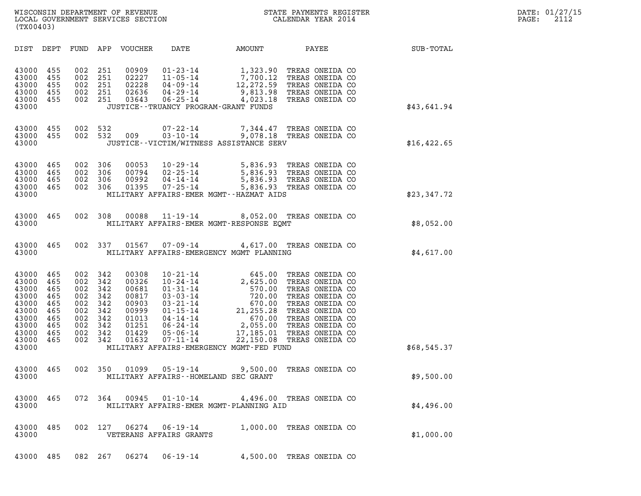| (TX00403)                                                                                                                                                                                                                                   |                                                                                                                                                                                                                                                                                                                                                                                              |                                                                                                                                                                                                                                                                                                             |              |
|---------------------------------------------------------------------------------------------------------------------------------------------------------------------------------------------------------------------------------------------|----------------------------------------------------------------------------------------------------------------------------------------------------------------------------------------------------------------------------------------------------------------------------------------------------------------------------------------------------------------------------------------------|-------------------------------------------------------------------------------------------------------------------------------------------------------------------------------------------------------------------------------------------------------------------------------------------------------------|--------------|
| DIST<br>DEPT<br>FUND                                                                                                                                                                                                                        | APP<br>VOUCHER<br>DATE                                                                                                                                                                                                                                                                                                                                                                       | AMOUNT<br>PAYEE                                                                                                                                                                                                                                                                                             | SUB-TOTAL    |
| 43000<br>455<br>002<br>43000<br>455<br>002<br>43000<br>455<br>002<br>43000<br>455<br>002<br>43000<br>455<br>002<br>43000                                                                                                                    | 251<br>00909<br>$01 - 23 - 14$<br>02227<br>$11 - 05 - 14$<br>251<br>02228<br>$04 - 09 - 14$<br>251<br>251<br>02636<br>$04 - 29 - 14$<br>03643<br>$06 - 25 - 14$<br>251<br>JUSTICE - - TRUANCY PROGRAM - GRANT FUNDS                                                                                                                                                                          | 1,323.90<br>TREAS ONEIDA CO<br>$\frac{1}{7}$ , 700.12<br>TREAS ONEIDA CO<br>12,272.59<br>TREAS ONEIDA CO<br>9,813.98<br>TREAS ONEIDA CO<br>4,023.18<br>TREAS ONEIDA CO                                                                                                                                      | \$43,641.94  |
| 455<br>002<br>43000<br>43000<br>455<br>002<br>43000                                                                                                                                                                                         | 532<br>$07 - 22 - 14$<br>$03 - 10 - 14$<br>532<br>009<br>JUSTICE - - VICTIM/WITNESS ASSISTANCE SERV                                                                                                                                                                                                                                                                                          | 7,344.47<br>TREAS ONEIDA CO<br>9,078.18 TREAS ONEIDA CO                                                                                                                                                                                                                                                     | \$16, 422.65 |
| 43000<br>465<br>002<br>43000<br>465<br>002<br>43000<br>465<br>002<br>43000<br>465<br>002<br>43000                                                                                                                                           | 306<br>00053<br>$10 - 29 - 14$<br>00794<br>$02 - 25 - 14$<br>306<br>306<br>00992<br>$04 - 14 - 14$<br>01395<br>$07 - 25 - 14$<br>306<br>MILITARY AFFAIRS-EMER MGMT--HAZMAT AIDS                                                                                                                                                                                                              | 5,836.93 TREAS ONEIDA CO<br>5,836.93 TREAS ONEIDA CO<br>5,836.93 TREAS ONEIDA CO<br>5,836.93 TREAS ONEIDA CO                                                                                                                                                                                                | \$23,347.72  |
| 43000<br>465<br>002<br>43000                                                                                                                                                                                                                | 308<br>00088<br>$11 - 19 - 14$<br>MILITARY AFFAIRS-EMER MGMT-RESPONSE EQMT                                                                                                                                                                                                                                                                                                                   | 8,052.00 TREAS ONEIDA CO                                                                                                                                                                                                                                                                                    | \$8,052.00   |
| 43000<br>465<br>002<br>43000                                                                                                                                                                                                                | 337<br>01567<br>$07 - 09 - 14$<br>MILITARY AFFAIRS-EMERGENCY MGMT PLANNING                                                                                                                                                                                                                                                                                                                   | 4,617.00 TREAS ONEIDA CO                                                                                                                                                                                                                                                                                    | \$4,617.00   |
| 43000<br>465<br>002<br>43000<br>465<br>002<br>43000<br>465<br>002<br>43000<br>465<br>002<br>43000<br>465<br>002<br>43000<br>465<br>002<br>43000<br>465<br>002<br>43000<br>465<br>002<br>43000<br>465<br>002<br>43000<br>465<br>002<br>43000 | 342<br>00308<br>$10 - 21 - 14$<br>$10 - 24 - 14$<br>342<br>00326<br>342<br>00681<br>$01 - 31 - 14$<br>342<br>00817<br>$03 - 03 - 14$<br>$03 - 21 - 14$<br>342<br>00903<br>342<br>00999<br>$01 - 15 - 14$<br>342<br>01013<br>$04 - 14 - 14$<br>342<br>01251<br>$06 - 24 - 14$<br>01429<br>342<br>$05 - 06 - 14$<br>342<br>01632<br>$07 - 11 - 14$<br>MILITARY AFFAIRS-EMERGENCY MGMT-FED FUND | 645.00<br>TREAS ONEIDA CO<br>2,625.00<br>TREAS ONEIDA CO<br>570.00<br>TREAS ONEIDA CO<br>720.00<br>TREAS ONEIDA CO<br>670.00<br>TREAS ONEIDA CO<br>21,255.28<br>TREAS ONEIDA CO<br>670.00<br>TREAS ONEIDA CO<br>2,055.00<br>TREAS ONEIDA CO<br>17,185.01<br>TREAS ONEIDA CO<br>22,150.08<br>TREAS ONEIDA CO | \$68,545.37  |
| 43000<br>465<br>002<br>43000                                                                                                                                                                                                                | 350<br>01099<br>$05 - 19 - 14$<br>MILITARY AFFAIRS -- HOMELAND SEC GRANT                                                                                                                                                                                                                                                                                                                     | 9,500.00<br>TREAS ONEIDA CO                                                                                                                                                                                                                                                                                 | \$9,500.00   |
| 43000<br>465<br>072<br>43000                                                                                                                                                                                                                | - 364<br>00945<br>$01 - 10 - 14$<br>MILITARY AFFAIRS-EMER MGMT-PLANNING AID                                                                                                                                                                                                                                                                                                                  | 4,496.00 TREAS ONEIDA CO                                                                                                                                                                                                                                                                                    | \$4,496.00   |
| 43000<br>002<br>485<br>43000                                                                                                                                                                                                                | 127<br>06274<br>$06 - 19 - 14$<br>VETERANS AFFAIRS GRANTS                                                                                                                                                                                                                                                                                                                                    | 1,000.00 TREAS ONEIDA CO                                                                                                                                                                                                                                                                                    | \$1,000.00   |
| 43000 485                                                                                                                                                                                                                                   | 082 267<br>06274<br>$06 - 19 - 14$                                                                                                                                                                                                                                                                                                                                                           | 4,500.00 TREAS ONEIDA CO                                                                                                                                                                                                                                                                                    |              |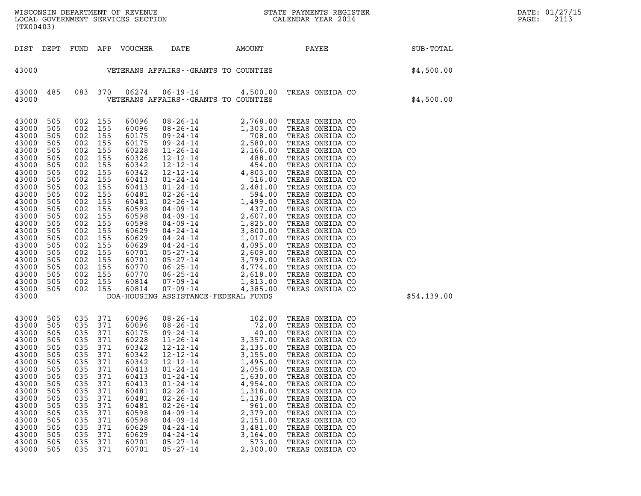| (TX00403)                                                                                                                                                                                                                     |                                                                                                                                                                      |                                                                                                                                                                          |                                                                                                                                                               |                                                                                                                                                                                                                      |                                                                                                                                                                                                                                                                                                                                                                                            |                                                                                                                                                                  |                                                                                                                                                                                                                                                                                                                                                                                                                                                                      |             | DATE: 01/27/15<br>2113<br>PAGE: |
|-------------------------------------------------------------------------------------------------------------------------------------------------------------------------------------------------------------------------------|----------------------------------------------------------------------------------------------------------------------------------------------------------------------|--------------------------------------------------------------------------------------------------------------------------------------------------------------------------|---------------------------------------------------------------------------------------------------------------------------------------------------------------|----------------------------------------------------------------------------------------------------------------------------------------------------------------------------------------------------------------------|--------------------------------------------------------------------------------------------------------------------------------------------------------------------------------------------------------------------------------------------------------------------------------------------------------------------------------------------------------------------------------------------|------------------------------------------------------------------------------------------------------------------------------------------------------------------|----------------------------------------------------------------------------------------------------------------------------------------------------------------------------------------------------------------------------------------------------------------------------------------------------------------------------------------------------------------------------------------------------------------------------------------------------------------------|-------------|---------------------------------|
|                                                                                                                                                                                                                               |                                                                                                                                                                      |                                                                                                                                                                          |                                                                                                                                                               | DIST DEPT FUND APP VOUCHER                                                                                                                                                                                           | DATE                                                                                                                                                                                                                                                                                                                                                                                       | AMOUNT                                                                                                                                                           | PAYEE                                                                                                                                                                                                                                                                                                                                                                                                                                                                | SUB-TOTAL   |                                 |
| 43000                                                                                                                                                                                                                         |                                                                                                                                                                      |                                                                                                                                                                          |                                                                                                                                                               |                                                                                                                                                                                                                      | VETERANS AFFAIRS - - GRANTS TO COUNTIES                                                                                                                                                                                                                                                                                                                                                    |                                                                                                                                                                  |                                                                                                                                                                                                                                                                                                                                                                                                                                                                      | \$4,500.00  |                                 |
| 43000<br>43000                                                                                                                                                                                                                | 485                                                                                                                                                                  |                                                                                                                                                                          | 083 370                                                                                                                                                       | 06274                                                                                                                                                                                                                | VETERANS AFFAIRS -- GRANTS TO COUNTIES                                                                                                                                                                                                                                                                                                                                                     |                                                                                                                                                                  | 06-19-14 4,500.00 TREAS ONEIDA CO                                                                                                                                                                                                                                                                                                                                                                                                                                    | \$4,500.00  |                                 |
| 43000<br>43000<br>43000<br>43000<br>43000<br>43000<br>43000<br>43000<br>43000<br>43000<br>43000<br>43000<br>43000<br>43000<br>43000<br>43000<br>43000<br>43000<br>43000<br>43000<br>43000<br>43000<br>43000<br>43000<br>43000 | 505<br>505<br>505<br>505<br>505<br>505<br>505<br>505<br>505<br>505<br>505<br>505<br>505<br>505<br>505<br>505<br>505<br>505<br>505<br>505<br>505<br>505<br>505<br>505 | 002<br>002<br>002<br>002<br>002<br>002<br>002<br>002<br>002<br>002<br>002<br>002<br>002<br>002<br>002<br>002<br>002<br>002<br>002<br>002<br>002<br>002<br>002<br>002 155 | 155<br>155<br>155<br>155<br>155<br>155<br>155<br>155<br>155<br>155<br>155<br>155<br>155<br>155<br>155<br>155<br>155<br>155<br>155<br>155<br>155<br>155<br>155 | 60096<br>60096<br>60175<br>60175<br>60228<br>60326<br>60342<br>60342<br>60413<br>60413<br>60481<br>60481<br>60598<br>60598<br>60598<br>60629<br>60629<br>60629<br>60701<br>60701<br>60770<br>60770<br>60814<br>60814 | $\begin{array}{cccc} 08\text{-}26\text{-}14 & 2,768.00 \\ 08\text{-}26\text{-}14 & 1,303.00 \\ 09\text{-}24\text{-}14 & 708.00 \\ 09\text{-}24\text{-}14 & 2,580.00 \\ 11\text{-}26\text{-}14 & 2,166.00 \\ 12\text{-}12\text{-}14 & 488.00 \\ 12\text{-}12\text{-}14 & 4,803.00 \\ 01\text{-}24\text{-}14 & 4,803.00 \\ 01\text{-}24$<br>07-09-14<br>DOA-HOUSING ASSISTANCE-FEDERAL FUNDS | 4,385.00                                                                                                                                                         | TREAS ONEIDA CO<br>TREAS ONEIDA CO<br>TREAS ONEIDA CO<br>TREAS ONEIDA CO<br>TREAS ONEIDA CO<br>TREAS ONEIDA CO<br>TREAS ONEIDA CO<br>TREAS ONEIDA CO<br>TREAS ONEIDA CO<br>TREAS ONEIDA CO<br>TREAS ONEIDA CO<br>TREAS ONEIDA CO<br>TREAS ONEIDA CO<br>TREAS ONEIDA CO<br>TREAS ONEIDA CO<br>TREAS ONEIDA CO<br>TREAS ONEIDA CO<br>TREAS ONEIDA CO<br>TREAS ONEIDA CO<br>TREAS ONEIDA CO<br>TREAS ONEIDA CO<br>TREAS ONEIDA CO<br>TREAS ONEIDA CO<br>TREAS ONEIDA CO | \$54,139.00 |                                 |
| 43000<br>43000<br>43000<br>43000<br>43000<br>43000<br>43000<br>43000<br>43000<br>43000<br>43000<br>43000<br>43000<br>43000<br>43000<br>43000<br>43000<br>43000<br>43000                                                       | 505<br>505<br>505<br>505<br>505<br>505<br>505<br>505<br>505<br>505<br>505<br>505<br>505<br>505<br>505<br>505<br>505<br>505<br>505                                    | 035 371<br>035<br>035<br>035<br>035 371<br>035<br>035<br>035<br>035<br>035<br>035<br>035<br>035<br>035<br>035<br>035<br>035<br>035<br>035                                | 371<br>371<br>371<br>371<br>371<br>371<br>371<br>371<br>371<br>371<br>371<br>371<br>371<br>371<br>371<br>371<br>371                                           | 60096<br>60096<br>60175<br>60228<br>60342<br>60342<br>60342<br>60413<br>60413<br>60413<br>60481<br>60481<br>60481<br>60598<br>60598<br>60629<br>60629<br>60701<br>60701                                              | 08 - 26 - 14<br>08 - 26 - 14<br>09 - 24 - 14<br>11 - 26 - 14<br>12 - 12 - 14<br>12 - 12 - 14<br>2, 135 . 00<br>$12 - 12 - 14$<br>$12 - 12 - 14$<br>$01 - 24 - 14$<br>$01 - 24 - 14$<br>$01 - 24 - 14$<br>$02 - 26 - 14$<br>$02 - 26 - 14$<br>$02 - 26 - 14$<br>$04 - 09 - 14$<br>$04 - 09 - 14$<br>$04 - 24 - 14$<br>$04 - 24 - 14$<br>$05 - 27 - 14$<br>$05 - 27 - 14$                    | 3,155.00<br>1,495.00<br>2,056.00<br>1,630.00<br>4,954.00<br>1,318.00<br>1,136.00<br>961.00<br>2,379.00<br>2,151.00<br>3,481.00<br>3,164.00<br>573.00<br>2,300.00 | TREAS ONEIDA CO<br>TREAS ONEIDA CO<br>TREAS ONEIDA CO<br>TREAS ONEIDA CO<br>TREAS ONEIDA CO<br>TREAS ONEIDA CO<br>TREAS ONEIDA CO<br>TREAS ONEIDA CO<br>TREAS ONEIDA CO<br>TREAS ONEIDA CO<br>TREAS ONEIDA CO<br>TREAS ONEIDA CO<br>TREAS ONEIDA CO<br>TREAS ONEIDA CO<br>TREAS ONEIDA CO<br>TREAS ONEIDA CO<br>TREAS ONEIDA CO<br>TREAS ONEIDA CO<br>TREAS ONEIDA CO                                                                                                |             |                                 |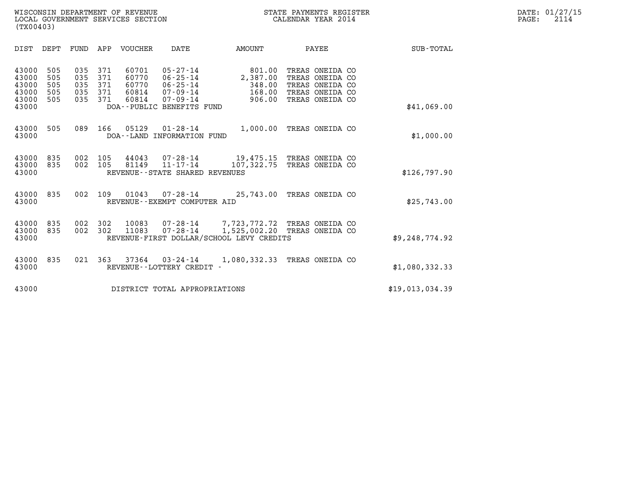| (TX00403)                                          |                                 |                                 |                                 |                                           |                                                                                                   |                                                                                                   |                                                                                             |                 |
|----------------------------------------------------|---------------------------------|---------------------------------|---------------------------------|-------------------------------------------|---------------------------------------------------------------------------------------------------|---------------------------------------------------------------------------------------------------|---------------------------------------------------------------------------------------------|-----------------|
| DIST                                               | DEPT                            | FUND                            | APP                             | <b>VOUCHER</b>                            | <b>DATE</b>                                                                                       | AMOUNT                                                                                            | PAYEE                                                                                       | SUB-TOTAL       |
| 43000<br>43000<br>43000<br>43000<br>43000<br>43000 | 505<br>505<br>505<br>505<br>505 | 035<br>035<br>035<br>035<br>035 | 371<br>371<br>371<br>371<br>371 | 60701<br>60770<br>60770<br>60814<br>60814 | $05 - 27 - 14$<br>06-25-14<br>06-25-14<br>07-09-14<br>$07 - 09 - 14$<br>DOA--PUBLIC BENEFITS FUND | 801.00<br>2,387.00<br>348.00<br>168.00<br>906.00                                                  | TREAS ONEIDA CO<br>TREAS ONEIDA CO<br>TREAS ONEIDA CO<br>TREAS ONEIDA CO<br>TREAS ONEIDA CO | \$41,069.00     |
| 43000<br>43000                                     | 505                             | 089                             | 166                             | 05129                                     | $01 - 28 - 14$<br>DOA--LAND INFORMATION FUND                                                      | 1,000.00                                                                                          | TREAS ONEIDA CO                                                                             | \$1,000.00      |
| 43000<br>43000<br>43000                            | 835<br>835                      | 002<br>002                      | 105<br>105                      | 44043<br>81149                            | $07 - 28 - 14$<br>11-17-14<br>REVENUE--STATE SHARED REVENUES                                      | 107,322.75                                                                                        | 19,475.15 TREAS ONEIDA CO<br>TREAS ONEIDA CO                                                | \$126,797.90    |
| 43000<br>43000                                     | 835                             | 002                             | 109                             | 01043                                     | REVENUE - - EXEMPT COMPUTER AID                                                                   | $07 - 28 - 14$ 25,743.00                                                                          | TREAS ONEIDA CO                                                                             | \$25,743.00     |
| 43000<br>43000<br>43000                            | 835<br>835                      | 002<br>002                      | 302<br>302                      | 10083<br>11083                            | $07 - 28 - 14$                                                                                    | 07-28-14 7,723,772.72 TREAS ONEIDA CO<br>1,525,002.20<br>REVENUE-FIRST DOLLAR/SCHOOL LEVY CREDITS | TREAS ONEIDA CO                                                                             | \$9,248,774.92  |
| 43000<br>43000                                     | 835                             | 021                             | 363                             | 37364                                     | 03-24-14<br>REVENUE - - LOTTERY CREDIT                                                            | 1,080,332.33                                                                                      | TREAS ONEIDA CO                                                                             | \$1,080,332.33  |
| 43000                                              |                                 |                                 |                                 |                                           | DISTRICT TOTAL APPROPRIATIONS                                                                     |                                                                                                   |                                                                                             | \$19,013,034.39 |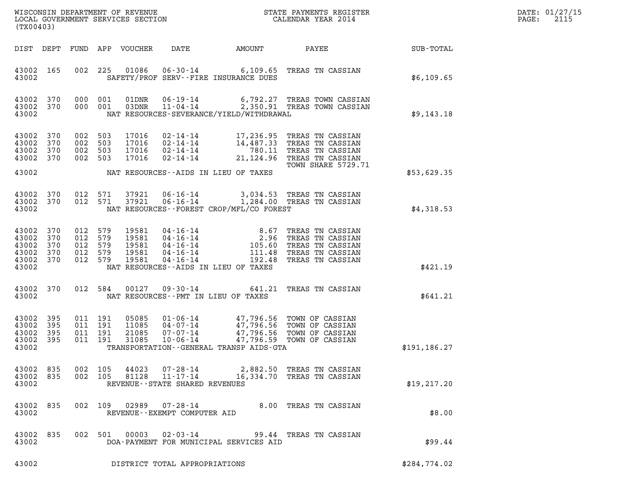| DATE: | 01/27/15 |
|-------|----------|
| PAGE: | 2115     |

| (TX00403)                                                  |                            |                                                     |                                           |                                                                               |                                                  |                                                                                                                                                                                    |                 | DATE: 01/27/15<br>2115<br>$\mathtt{PAGE}$ : |
|------------------------------------------------------------|----------------------------|-----------------------------------------------------|-------------------------------------------|-------------------------------------------------------------------------------|--------------------------------------------------|------------------------------------------------------------------------------------------------------------------------------------------------------------------------------------|-----------------|---------------------------------------------|
|                                                            | DIST DEPT                  |                                                     | FUND APP VOUCHER                          | DATE                                                                          | <b>AMOUNT</b>                                    |                                                                                                                                                                                    | PAYEE SUB-TOTAL |                                             |
| 43002 165<br>43002                                         |                            | 002 225                                             |                                           |                                                                               | SAFETY/PROF SERV--FIRE INSURANCE DUES            | 01086  06-30-14  6,109.65  TREAS TN CASSIAN                                                                                                                                        | \$6,109.65      |                                             |
| 43002 370<br>43002 370<br>43002                            |                            | 000 001<br>000 001                                  |                                           |                                                                               | NAT RESOURCES-SEVERANCE/YIELD/WITHDRAWAL         | 01DNR  06-19-14  6,792.27 TREAS TOWN CASSIAN<br>03DNR  11-04-14  2,350.91 TREAS TOWN CASSIAN                                                                                       | \$9,143.18      |                                             |
| 43002<br>43002<br>43002<br>43002 370                       | 370<br>370<br>370          | 002 503<br>002 503<br>002 503<br>002 503            | 17016<br>17016<br>17016<br>17016          |                                                                               |                                                  | 02-14-14 17,236.95 TREAS TN CASSIAN<br>02-14-14 14,487.33 TREAS TN CASSIAN<br>02-14-14 780.11 TREAS TN CASSIAN<br>02-14-14 21,124.96 TREAS TN CASSIAN<br><b>TOWN SHARE 5729.71</b> |                 |                                             |
| 43002                                                      |                            |                                                     |                                           |                                                                               | NAT RESOURCES--AIDS IN LIEU OF TAXES             |                                                                                                                                                                                    | \$53,629.35     |                                             |
| 43002<br>43002 370<br>43002                                | 370                        | 012 571<br>012 571                                  | 37921<br>37921                            |                                                                               | NAT RESOURCES--FOREST CROP/MFL/CO FOREST         | 06-16-14 3,034.53 TREAS TN CASSIAN<br>06-16-14 1,284.00 TREAS TN CASSIAN                                                                                                           | \$4,318.53      |                                             |
| 43002 370<br>43002<br>43002<br>43002<br>43002 370<br>43002 | 370<br>370<br>370          | 012 579<br>012 579<br>012 579<br>012 579<br>012 579 | 19581<br>19581<br>19581<br>19581<br>19581 | $04 - 16 - 14$ $04 - 16 - 14$ $04 - 16 - 14$ $04 - 16 - 14$ $04 - 16 - 14$ $$ | 111.48<br>NAT RESOURCES -- AIDS IN LIEU OF TAXES | 8.67 TREAS TN CASSIAN<br>2.96 TREAS TN CASSIAN<br>105.60 TREAS TN CASSIAN<br>TREAS TN CASSIAN<br>192.48 TREAS TN CASSIAN                                                           | \$421.19        |                                             |
| 43002                                                      | 43002 370                  |                                                     | 012 584<br>00127                          |                                                                               | NAT RESOURCES -- PMT IN LIEU OF TAXES            | 09-30-14 641.21 TREAS TN CASSIAN                                                                                                                                                   | \$641.21        |                                             |
| 43002<br>43002<br>43002<br>43002<br>43002                  | 395<br>395<br>395<br>- 395 | 011 191<br>011 191<br>011 191<br>011 191            | 05085<br>11085<br>21085<br>31085          |                                                                               | TRANSPORTATION - - GENERAL TRANSP AIDS - GTA     | 01-06-14 47,796.56 TOWN OF CASSIAN<br>04-07-14 47,796.56 TOWN OF CASSIAN<br>07-07-14 47,796.56 TOWN OF CASSIAN<br>10-06-14 47,796.59 TOWN OF CASSIAN                               | \$191, 186.27   |                                             |
| 43002<br>43002 835<br>43002                                | 835                        | 002 105<br>002 105                                  | 44023<br>81128                            | $11 - 17 - 14$<br>REVENUE - - STATE SHARED REVENUES                           |                                                  | 07-28-14 2,882.50 TREAS TN CASSIAN<br>16,334.70 TREAS TN CASSIAN                                                                                                                   | \$19, 217.20    |                                             |
| 43002 835<br>43002                                         |                            |                                                     | 002 109<br>02989                          | REVENUE--EXEMPT COMPUTER AID                                                  |                                                  | 07-28-14 8.00 TREAS TN CASSIAN                                                                                                                                                     | \$8.00          |                                             |
| 43002 835<br>43002                                         |                            |                                                     | 002 501 00003                             | $02 - 03 - 14$                                                                | DOA-PAYMENT FOR MUNICIPAL SERVICES AID           | 99.44 TREAS TN CASSIAN                                                                                                                                                             | \$99.44         |                                             |
| 43002                                                      |                            |                                                     |                                           | DISTRICT TOTAL APPROPRIATIONS                                                 |                                                  |                                                                                                                                                                                    | \$284,774.02    |                                             |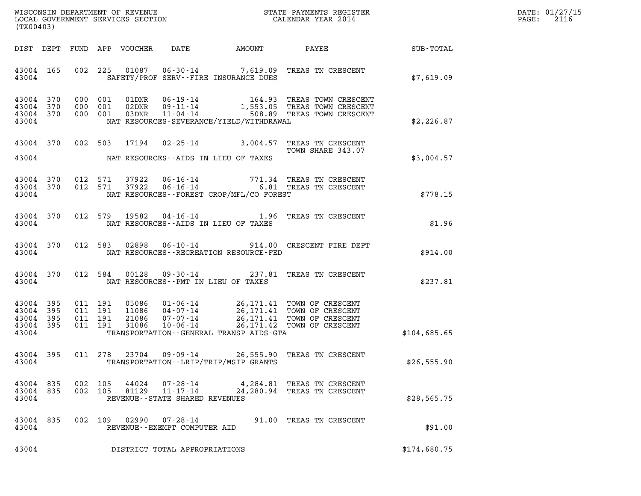| DATE: | 01/27/15 |
|-------|----------|
| PAGE: | 2116     |

| (TX00403)                                             |     |                               |                                                                                                                                                                                                                                                | DATE: 01/27/15<br>2116<br>$\mathtt{PAGE:}$ |
|-------------------------------------------------------|-----|-------------------------------|------------------------------------------------------------------------------------------------------------------------------------------------------------------------------------------------------------------------------------------------|--------------------------------------------|
| DIST DEPT                                             |     |                               | FUND APP VOUCHER DATE<br>AMOUNT PAYEE SUB-TOTAL                                                                                                                                                                                                |                                            |
| 43004 165<br>43004                                    |     |                               | 01087  06-30-14  7,619.09  TREAS TN CRESCENT<br>002 225<br>SAFETY/PROF SERV--FIRE INSURANCE DUES                                                                                                                                               | \$7.619.09                                 |
| 43004 370<br>43004 370<br>43004 370<br>43004          |     |                               | 000 001 01DNR 06-19-14 164.93 TREAS TOWN CRESCENT 000 001 02DNR 09-11-14 1,553.05 TREAS TOWN CRESCENT 000 001 03DNR 11-04-14 508.89 TREAS TOWN CRESCENT<br>NAT RESOURCES-SEVERANCE/YIELD/WITHDRAWAL                                            | \$2,226.87                                 |
| 43004 370                                             |     |                               | 002 503 17194 02-25-14 3,004.57 TREAS TN CRESCENT<br>TOWN SHARE 343.07<br>43004 NAT RESOURCES--AIDS IN LIEU OF TAXES                                                                                                                           | \$3,004.57                                 |
| 43004 370<br>43004 370<br>43004                       |     |                               | $\begin{array}{cccc} 012 & 571 & 37922 & 06\text{-}16\text{-}14 & & & & 771.34 & \text{TREAS TN} \ 012 & 571 & 37922 & 06\text{-}16\text{-}14 & & & & 6.81 & \text{TREAS TN} \ \end{array}$<br>NAT RESOURCES - - FOREST CROP/MFL/CO FOREST     | \$778.15                                   |
| 43004 370<br>43004                                    |     |                               | 19582  04-16-14   1.96   TREAS TN CRESCENT<br>012 579<br>NAT RESOURCES -- AIDS IN LIEU OF TAXES                                                                                                                                                | \$1.96                                     |
| 43004 370<br>43004                                    |     |                               | 02898  06-10-14  914.00  CRESCENT FIRE DEPT<br>012 583<br>NAT RESOURCES - - RECREATION RESOURCE - FED                                                                                                                                          | \$914.00                                   |
| 43004 370<br>43004                                    |     |                               | 00128  09-30-14  237.81  TREAS TN CRESCENT<br>012 584<br>NAT RESOURCES -- PMT IN LIEU OF TAXES                                                                                                                                                 | \$237.81                                   |
| 43004 395<br>43004<br>43004 395<br>43004 395<br>43004 | 395 | 011 191<br>011 191<br>011 191 | 05086  01-06-14  26,171.41 TOWN OF CRESCENT<br>11086  04-07-14  26,171.41 TOWN OF CRESCENT<br>21086  07-07-14  26,171.41 TOWN OF CRESCENT<br>31086  10-06-14  26,171.42 TOWN OF CRESCENT<br>011 191<br>TRANSPORTATION--GENERAL TRANSP AIDS-GTA | \$104,685.65                               |
| 43004 395<br>43004                                    |     |                               | 011 278<br>23704 09-09-14 26,555.90 TREAS TN CRESCENT<br>TRANSPORTATION - - LRIP/TRIP/MSIP GRANTS                                                                                                                                              | \$26,555.90                                |
| 43004 835<br>43004 835<br>43004                       |     |                               | 44024<br>07-28-14<br>002 105<br>4,284.81 TREAS TN CRESCENT<br>002 105<br>81129<br>$11 - 17 - 14$<br>24, 280.94 TREAS TN CRESCENT<br>REVENUE - - STATE SHARED REVENUES                                                                          | \$28,565.75                                |
| 43004 835<br>43004                                    |     |                               | 002 109 02990<br>07-28-14<br>91.00 TREAS TN CRESCENT<br>REVENUE--EXEMPT COMPUTER AID                                                                                                                                                           | \$91.00                                    |
| 43004                                                 |     |                               | DISTRICT TOTAL APPROPRIATIONS                                                                                                                                                                                                                  | \$174,680.75                               |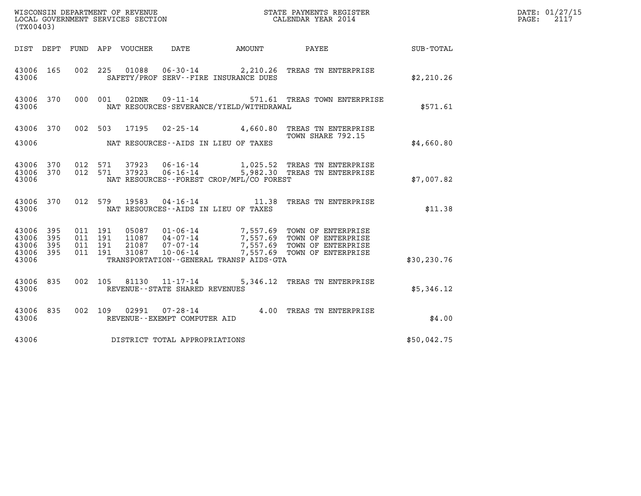| (TX00403)                        |                              |                                          |                                      |                                   |                                              |                                                                                                                                                                                      |              | DATE: 01/27/15<br>2117<br>PAGE: |
|----------------------------------|------------------------------|------------------------------------------|--------------------------------------|-----------------------------------|----------------------------------------------|--------------------------------------------------------------------------------------------------------------------------------------------------------------------------------------|--------------|---------------------------------|
|                                  |                              |                                          | DIST DEPT FUND APP VOUCHER DATE      |                                   |                                              | AMOUNT PAYEE                                                                                                                                                                         | SUB-TOTAL    |                                 |
| 43006 165<br>43006               |                              |                                          |                                      |                                   | SAFETY/PROF SERV--FIRE INSURANCE DUES        | 002 225 01088 06-30-14 2,210.26 TREAS TN ENTERPRISE                                                                                                                                  | \$2,210.26   |                                 |
| 43006 370<br>43006               |                              | 000 001                                  | 02DNR                                |                                   | NAT RESOURCES-SEVERANCE/YIELD/WITHDRAWAL     | 09-11-14 571.61 TREAS TOWN ENTERPRISE                                                                                                                                                | \$571.61     |                                 |
|                                  |                              |                                          |                                      |                                   |                                              | 43006 370 002 503 17195 02-25-14 4,660.80 TREAS TN ENTERPRISE<br>TOWN SHARE 792.15                                                                                                   |              |                                 |
| 43006                            |                              |                                          | NAT RESOURCES--AIDS IN LIEU OF TAXES |                                   |                                              |                                                                                                                                                                                      | \$4,660.80   |                                 |
| 43006 370<br>43006 370<br>43006  |                              | 012 571                                  | 37923<br>012 571<br>37923            |                                   | NAT RESOURCES--FOREST CROP/MFL/CO FOREST     | 06-16-14 1,025.52 TREAS TN ENTERPRISE<br>06-16-14 5,982.30 TREAS TN ENTERPRISE                                                                                                       | \$7,007.82   |                                 |
| 43006 370<br>43006               |                              |                                          | NAT RESOURCES--AIDS IN LIEU OF TAXES |                                   |                                              | 012 579 19583 04-16-14 11.38 TREAS TN ENTERPRISE                                                                                                                                     | \$11.38      |                                 |
| 43006<br>43006<br>43006<br>43006 | - 395<br>395<br>395<br>- 395 | 011 191<br>011 191<br>011 191<br>011 191 |                                      |                                   |                                              | 05087 01-06-14 7,557.69 TOWN OF ENTERPRISE<br>11087 04-07-14 7,557.69 TOWN OF ENTERPRISE<br>21087 07-07-14 7,557.69 TOWN OF ENTERPRISE<br>31087 10-06-14 7,557.69 TOWN OF ENTERPRISE |              |                                 |
| 43006                            |                              |                                          |                                      |                                   | TRANSPORTATION - - GENERAL TRANSP AIDS - GTA |                                                                                                                                                                                      | \$30, 230.76 |                                 |
| 43006 835<br>43006               |                              |                                          |                                      | REVENUE - - STATE SHARED REVENUES |                                              | 002 105 81130 11-17-14 5,346.12 TREAS TN ENTERPRISE                                                                                                                                  | \$5,346.12   |                                 |
| 43006 835<br>43006               |                              |                                          | 002 109                              | REVENUE--EXEMPT COMPUTER AID      |                                              | 02991  07-28-14  4.00 TREAS TN ENTERPRISE                                                                                                                                            | \$4.00       |                                 |
| 43006                            |                              |                                          | DISTRICT TOTAL APPROPRIATIONS        |                                   |                                              |                                                                                                                                                                                      | \$50,042.75  |                                 |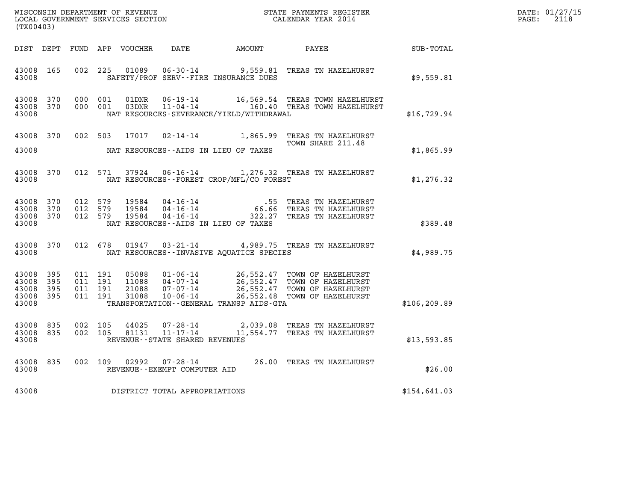| (TX00403)                                     |                   |  | LOCAL GOVERNMENT SERVICES SECTION |                                   |                                            | CALENDAR YEAR 2014                                                                                                                                                                                                       |               | DATE: 01/27/15<br>PAGE: 2118 |
|-----------------------------------------------|-------------------|--|-----------------------------------|-----------------------------------|--------------------------------------------|--------------------------------------------------------------------------------------------------------------------------------------------------------------------------------------------------------------------------|---------------|------------------------------|
|                                               |                   |  |                                   |                                   |                                            |                                                                                                                                                                                                                          | SUB-TOTAL     |                              |
| 43008                                         |                   |  |                                   |                                   | SAFETY/PROF SERV--FIRE INSURANCE DUES      | 43008 165 002 225 01089 06-30-14 9,559.81 TREAS TN HAZELHURST                                                                                                                                                            | \$9,559.81    |                              |
| 43008 370<br>43008                            |                   |  | 43008 370 000 001 01DNR           |                                   | NAT RESOURCES-SEVERANCE/YIELD/WITHDRAWAL   |                                                                                                                                                                                                                          | \$16,729.94   |                              |
| 43008                                         |                   |  |                                   |                                   | NAT RESOURCES--AIDS IN LIEU OF TAXES       | 43008 370 002 503 17017 02-14-14 1,865.99 TREAS TN HAZELHURST<br>TOWN SHARE 211.48                                                                                                                                       | \$1,865.99    |                              |
| 43008                                         |                   |  |                                   |                                   | NAT RESOURCES--FOREST CROP/MFL/CO FOREST   | 43008 370 012 571 37924 06-16-14 1,276.32 TREAS TN HAZELHURST                                                                                                                                                            | \$1,276.32    |                              |
| 43008                                         |                   |  |                                   |                                   | NAT RESOURCES--AIDS IN LIEU OF TAXES       | 43008 370 012 579 19584 04-16-14 .55 TREAS TN HAZELHURST<br>43008 370 012 579 19584 04-16-14 66.66 TREAS TN HAZELHURST<br>43008 370 012 579 19584 04-16-14 322.27 TREAS TN HAZELHURST                                    | \$389.48      |                              |
| 43008                                         |                   |  |                                   |                                   | NAT RESOURCES -- INVASIVE AQUATICE SPECIES | 43008 370 012 678 01947 03-21-14 4,989.75 TREAS TN HAZELHURST                                                                                                                                                            | \$4,989.75    |                              |
| 43008 395<br>43008<br>43008<br>43008<br>43008 | 395<br>395<br>395 |  |                                   |                                   | TRANSPORTATION--GENERAL TRANSP AIDS-GTA    | 011 191 05088 01-06-14 26,552.47 TOWN OF HAZELHURST<br>011 191 11088 04-07-14 26,552.47 TOWN OF HAZELHURST<br>011 191 21088 07-07-14 26,552.47 TOWN OF HAZELHURST<br>011 191 31088 10-06-14 26,552.48 TOWN OF HAZELHURST | \$106, 209.89 |                              |
| 43008                                         |                   |  |                                   | REVENUE - - STATE SHARED REVENUES |                                            | 43008 835 002 105 44025 07-28-14 2,039.08 TREAS TN HAZELHURST<br>43008 835 002 105 81131 11-17-14 11,554.77 TREAS TN HAZELHURST                                                                                          | \$13,593.85   |                              |
| 43008                                         |                   |  |                                   | REVENUE--EXEMPT COMPUTER AID      |                                            | 43008 835 002 109 02992 07-28-14 26.00 TREAS TN HAZELHURST                                                                                                                                                               | \$26.00       |                              |
| 43008                                         |                   |  |                                   | DISTRICT TOTAL APPROPRIATIONS     |                                            |                                                                                                                                                                                                                          | \$154,641.03  |                              |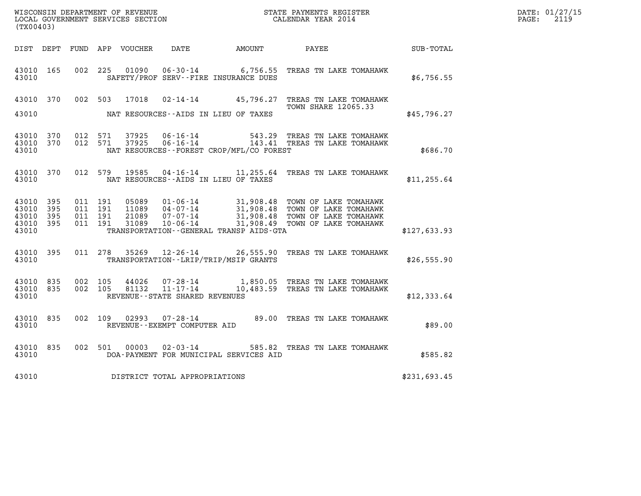| WISCONSIN DEPARTMENT OF REVENUE<br>LOCAL GOVERNMENT SERVICES SECTION<br>CALENDAR YEAR 2014<br>(TX00403) |                           |                               |         |                |                                |                                              |                                                                                                                              |              | DATE: 01/27/15<br>$\mathtt{PAGE:}$<br>2119 |
|---------------------------------------------------------------------------------------------------------|---------------------------|-------------------------------|---------|----------------|--------------------------------|----------------------------------------------|------------------------------------------------------------------------------------------------------------------------------|--------------|--------------------------------------------|
|                                                                                                         |                           |                               |         |                |                                | DIST DEPT FUND APP VOUCHER DATE AMOUNT PAYEE |                                                                                                                              | SUB-TOTAL    |                                            |
| 43010 165<br>43010                                                                                      |                           | 002 225                       |         |                |                                | SAFETY/PROF SERV--FIRE INSURANCE DUES        | 01090  06-30-14   6,756.55  TREAS TN LAKE TOMAHAWK                                                                           | \$6,756.55   |                                            |
| 43010                                                                                                   |                           |                               |         |                |                                | NAT RESOURCES--AIDS IN LIEU OF TAXES         | 43010 370 002 503 17018 02-14-14 45,796.27 TREAS TN LAKE TOMAHAWK<br><b>TOWN SHARE 12065.33</b>                              | \$45,796.27  |                                            |
| 43010 370<br>43010                                                                                      |                           | 43010 370 012 571             | 012 571 | 37925<br>37925 |                                | NAT RESOURCES--FOREST CROP/MFL/CO FOREST     | 06-16-14 543.29 TREAS TN LAKE TOMAHAWK<br>06-16-14 143.41 TREAS TN LAKE TOMAHAWK                                             | \$686.70     |                                            |
| 43010                                                                                                   |                           | 43010 370 012 579             |         |                |                                | NAT RESOURCES--AIDS IN LIEU OF TAXES         | 19585  04-16-14   11, 255.64   TREAS TN LAKE TOMAHAWK                                                                        | \$11, 255.64 |                                            |
| 43010 395<br>43010<br>43010<br>43010                                                                    | - 395<br>395<br>43010 395 | 011 191<br>011 191<br>011 191 | 011 191 |                |                                | TRANSPORTATION--GENERAL TRANSP AIDS-GTA      |                                                                                                                              | \$127,633.93 |                                            |
| 43010                                                                                                   | 43010 395                 |                               |         |                |                                | TRANSPORTATION - - LRIP/TRIP/MSIP GRANTS     | 011 278 35269 12-26-14 26,555.90 TREAS TN LAKE TOMAHAWK                                                                      | \$26,555.90  |                                            |
| 43010                                                                                                   | 43010 835<br>43010 835    |                               |         |                | REVENUE--STATE SHARED REVENUES |                                              | 002 105  44026  07-28-14   1,850.05  TREAS TN LAKE TOMAHAWK<br>002  105  81132  11-17-14   10,483.59  TREAS TN LAKE TOMAHAWK | \$12,333.64  |                                            |
| 43010 835<br>43010                                                                                      |                           |                               |         |                | REVENUE--EXEMPT COMPUTER AID   |                                              | 002 109 02993 07-28-14 89.00 TREAS TN LAKE TOMAHAWK                                                                          | \$89.00      |                                            |
| 43010                                                                                                   | 43010 835                 |                               |         |                |                                | DOA-PAYMENT FOR MUNICIPAL SERVICES AID       | 002 501 00003 02-03-14 585.82 TREAS TN LAKE TOMAHAWK                                                                         | \$585.82     |                                            |
| 43010                                                                                                   |                           |                               |         |                | DISTRICT TOTAL APPROPRIATIONS  |                                              |                                                                                                                              | \$231,693.45 |                                            |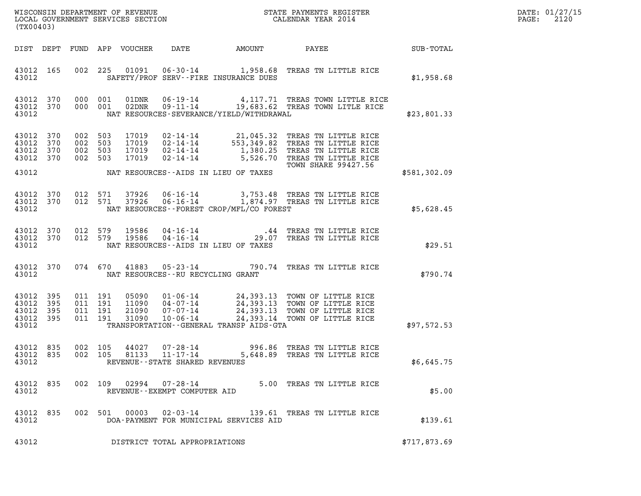| DATE: | 01/27/15 |
|-------|----------|
| PAGE: | 2120     |

| (TX00403)                                     |                   |  |                                          |                                  |                                                          |                                          |                                                                                                                                                                                              |              | DATE: 01/27/15<br>2120<br>$\mathtt{PAGE:}$ |
|-----------------------------------------------|-------------------|--|------------------------------------------|----------------------------------|----------------------------------------------------------|------------------------------------------|----------------------------------------------------------------------------------------------------------------------------------------------------------------------------------------------|--------------|--------------------------------------------|
| DIST DEPT                                     |                   |  |                                          | FUND APP VOUCHER                 | DATE                                                     |                                          |                                                                                                                                                                                              |              |                                            |
| 43012 165<br>43012                            |                   |  |                                          |                                  |                                                          | SAFETY/PROF SERV--FIRE INSURANCE DUES    | 002 225 01091 06-30-14 1,958.68 TREAS TN LITTLE RICE                                                                                                                                         | \$1,958.68   |                                            |
| 43012 370<br>43012 370<br>43012               |                   |  | 000 001<br>000 001                       |                                  |                                                          | NAT RESOURCES-SEVERANCE/YIELD/WITHDRAWAL | 01DNR  06-19-14  4,117.71 TREAS TOWN LITTLE RICE<br>02DNR  09-11-14  19,683.62 TREAS TOWN LITLE RICE                                                                                         | \$23,801.33  |                                            |
| 43012 370<br>43012<br>43012<br>43012 370      | 370<br>370        |  | 002 503<br>002 503<br>002 503<br>002 503 | 17019<br>17019<br>17019<br>17019 | $02 - 14 - 14$                                           |                                          | 02-14-14 21,045.32 TREAS TN LITTLE RICE<br>02-14-14 553,349.82 TREAS TN LITTLE RICE<br>02-14-14 1,380.25 TREAS TN LITTLE RICE<br>5,526.70 TREAS TN LITTLE RICE<br><b>TOWN SHARE 99427.56</b> |              |                                            |
| 43012                                         |                   |  |                                          |                                  |                                                          | NAT RESOURCES--AIDS IN LIEU OF TAXES     |                                                                                                                                                                                              | \$581,302.09 |                                            |
| 43012 370<br>43012 370<br>43012               |                   |  | 012 571                                  | 37926<br>012 571 37926           |                                                          | NAT RESOURCES--FOREST CROP/MFL/CO FOREST | 06-16-14 3,753.48 TREAS TN LITTLE RICE<br>06-16-14 1,874.97 TREAS TN LITTLE RICE                                                                                                             | \$5,628.45   |                                            |
| 43012 370<br>43012 370<br>43012               |                   |  | 012 579<br>012 579                       | 19586<br>19586                   |                                                          | NAT RESOURCES--AIDS IN LIEU OF TAXES     | 04-16-14 .44 TREAS TN LITTLE RICE<br>04-16-14 04-16-14 29.07 TREAS TN LITTLE RICE                                                                                                            | \$29.51      |                                            |
| 43012 370<br>43012                            |                   |  |                                          |                                  |                                                          | NAT RESOURCES--RU RECYCLING GRANT        | 074 670 41883 05-23-14 790.74 TREAS TN LITTLE RICE                                                                                                                                           | \$790.74     |                                            |
| 43012<br>43012<br>43012<br>43012 395<br>43012 | 395<br>395<br>395 |  | 011 191<br>011 191<br>011 191<br>011 191 | 05090<br>11090<br>21090<br>31090 |                                                          | TRANSPORTATION--GENERAL TRANSP AIDS-GTA  | 01-06-14 24,393.13 TOWN OF LITTLE RICE<br>04-07-14 24,393.13 TOWN OF LITTLE RICE<br>07-07-14 24,393.13 TOWN OF LITTLE RICE<br>10-06-14 24,393.14 TOWN OF LITTLE RICE                         | \$97,572.53  |                                            |
| 43012 835<br>43012 835<br>43012               |                   |  | 002 105                                  | 44027                            | 002 105 81133 11-17-14<br>REVENUE--STATE SHARED REVENUES |                                          | 07-28-14 996.86 TREAS TN LITTLE RICE<br>5,648.89 TREAS TN LITTLE RICE                                                                                                                        | \$6,645.75   |                                            |
| 43012 835<br>43012                            |                   |  |                                          |                                  | 002 109 02994 07-28-14<br>REVENUE--EXEMPT COMPUTER AID   |                                          | 5.00 TREAS TN LITTLE RICE                                                                                                                                                                    | \$5.00       |                                            |
| 43012 835<br>43012                            |                   |  |                                          |                                  |                                                          | DOA-PAYMENT FOR MUNICIPAL SERVICES AID   | 002 501 00003 02-03-14 139.61 TREAS TN LITTLE RICE                                                                                                                                           | \$139.61     |                                            |
| 43012                                         |                   |  |                                          |                                  | DISTRICT TOTAL APPROPRIATIONS                            |                                          |                                                                                                                                                                                              | \$717,873.69 |                                            |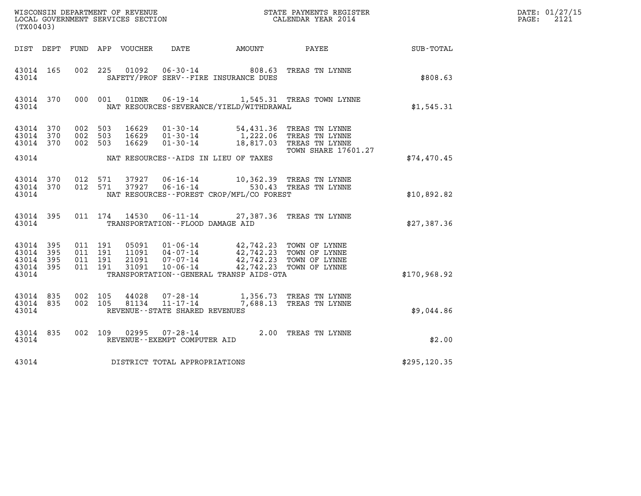| DATE: 01/27/15<br>$\mathtt{PAGE:}$<br>2121                                                                                                                                                                                                                                                                                                                  |
|-------------------------------------------------------------------------------------------------------------------------------------------------------------------------------------------------------------------------------------------------------------------------------------------------------------------------------------------------------------|
|                                                                                                                                                                                                                                                                                                                                                             |
| 43014 165 002 225 01092 06-30-14 808.63 TREAS TN LYNNE<br>\$808.63                                                                                                                                                                                                                                                                                          |
| 43014 370 000 001 01DNR 06-19-14 1,545.31 TREAS TOWN LYNNE<br>\$1,545.31                                                                                                                                                                                                                                                                                    |
| 16629  01-30-14  54,431.36 TREAS TN LYNNE<br>16629  01-30-14  1,222.06 TREAS TN LYNNE<br>16629  01-30-14  18,817.03 TREAS TN LYNNE                                                                                                                                                                                                                          |
| <b>TOWN SHARE 17601.27</b><br>\$74,470.45                                                                                                                                                                                                                                                                                                                   |
| $\begin{array}{cccccc} 43014 & 370 & 012 & 571 & 37927 & 06\cdot 16\cdot 14 & & 10,362.39 & \text{TREAS TN LYNNE} \\ 43014 & 370 & 012 & 571 & 37927 & 06\cdot 16\cdot 14 & & 530.43 & \text{TREAS TN LYNNE} \end{array}$<br>\$10,892.82                                                                                                                    |
| 011 174 14530 06-11-14 27,387.36 TREAS TN LYNNE<br>\$27,387.36                                                                                                                                                                                                                                                                                              |
| $\begin{array}{cccc} 011 & 191 & 05091 & 01\cdot 06\cdot 14 & 42,742.23 & \text{TOWN OF LYNNE} \\ 011 & 191 & 11091 & 04\cdot 07\cdot 14 & 42,742.23 & \text{TOWN OF LYNNE} \\ 011 & 191 & 21091 & 07\cdot 07\cdot 14 & 42,742.23 & \text{TOWN OF LYNNE} \\ 011 & 191 & 31091 & 10\cdot 06\cdot 14 & 42,742.23 & \text{TOWN OF LYNNE} \end$<br>\$170,968.92 |
| $43014$ 835 002 105 $44028$ 07-28-14 1,356.73 TREAS TN LYNNE<br>$43014$ 835 002 105 81134 11-17-14 7,688.13 TREAS TN LYNNE<br>\$9,044.86                                                                                                                                                                                                                    |
| 002 109 02995 07-28-14 2.00 TREAS TN LYNNE<br>\$2.00                                                                                                                                                                                                                                                                                                        |
| \$295,120.35                                                                                                                                                                                                                                                                                                                                                |
|                                                                                                                                                                                                                                                                                                                                                             |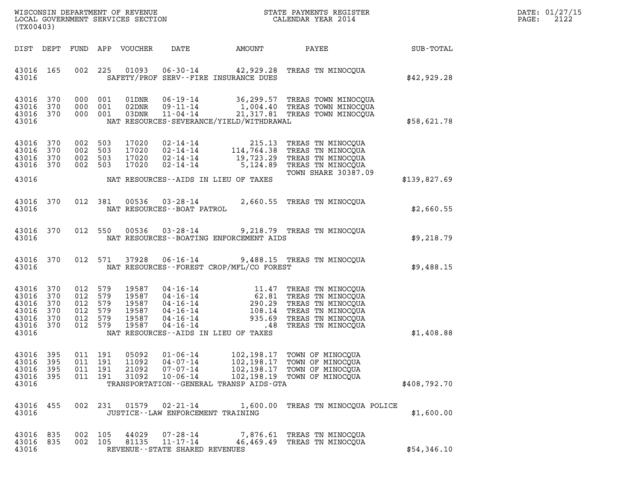| DATE: | 01/27/15 |
|-------|----------|
| PAGE: | 2122     |

| (TX00403)                                                               |                          |                                                            |                   |                                                    |                                                                      |                                                                                   |                                                                                                                                                                                                                                                                                                                                                                                                       |              | DATE: 01/27/15<br>2122<br>PAGE: |
|-------------------------------------------------------------------------|--------------------------|------------------------------------------------------------|-------------------|----------------------------------------------------|----------------------------------------------------------------------|-----------------------------------------------------------------------------------|-------------------------------------------------------------------------------------------------------------------------------------------------------------------------------------------------------------------------------------------------------------------------------------------------------------------------------------------------------------------------------------------------------|--------------|---------------------------------|
|                                                                         |                          |                                                            |                   | DIST DEPT FUND APP VOUCHER                         | DATE                                                                 |                                                                                   | AMOUNT PAYEE SUB-TOTAL                                                                                                                                                                                                                                                                                                                                                                                |              |                                 |
| 43016 165<br>43016                                                      |                          |                                                            | 002 225           |                                                    |                                                                      | SAFETY/PROF SERV--FIRE INSURANCE DUES                                             | 01093  06-30-14  42,929.28  TREAS TN MINOCQUA                                                                                                                                                                                                                                                                                                                                                         | \$42,929.28  |                                 |
| 43016 370<br>43016<br>43016 370<br>43016                                | 370                      | 000 001<br>000 001<br>000 001                              |                   | 01DNR<br>02DNR<br>03DNR                            | $11 - 04 - 14$                                                       | NAT RESOURCES-SEVERANCE/YIELD/WITHDRAWAL                                          | 06-19-14 36,299.57 TREAS TOWN MINOCQUA<br>$09 - 11 - 14$ 1,004.40 TREAS TOWN MINOCQUA<br>21,317.81 TREAS TOWN MINOCQUA                                                                                                                                                                                                                                                                                | \$58,621.78  |                                 |
| 43016 370<br>43016<br>43016 370<br>43016 370                            | 370                      | 002 503<br>002 503<br>002 503<br>002 503                   |                   | 17020<br>17020<br>17020<br>17020                   |                                                                      |                                                                                   | 02-14-14 215.13 TREAS TN MINOCQUA<br>02-14-14 114,764.38 TREAS TN MINOCQUA<br>02-14-14 19,723.29 TREAS TN MINOCQUA<br>02-14-14 5,124.89 TREAS TN MINOCQUA<br>TOWN SHARE 30387.09                                                                                                                                                                                                                      |              |                                 |
| 43016                                                                   |                          |                                                            |                   |                                                    |                                                                      | NAT RESOURCES--AIDS IN LIEU OF TAXES                                              |                                                                                                                                                                                                                                                                                                                                                                                                       | \$139,827.69 |                                 |
| 43016 370<br>43016                                                      |                          |                                                            |                   |                                                    | NAT RESOURCES - - BOAT PATROL                                        |                                                                                   | 012 381 00536 03-28-14 2,660.55 TREAS TN MINOCQUA                                                                                                                                                                                                                                                                                                                                                     | \$2,660.55   |                                 |
| 43016 370<br>43016                                                      |                          |                                                            |                   |                                                    | 012 550 00536 03-28-14                                               | NAT RESOURCES--BOATING ENFORCEMENT AIDS                                           | 9,218.79 TREAS TN MINOCQUA                                                                                                                                                                                                                                                                                                                                                                            | \$9,218.79   |                                 |
| 43016 370<br>43016                                                      |                          |                                                            |                   |                                                    |                                                                      | NAT RESOURCES - - FOREST CROP/MFL/CO FOREST                                       | 012 571 37928 06-16-14 9,488.15 TREAS TN MINOCQUA                                                                                                                                                                                                                                                                                                                                                     | \$9,488.15   |                                 |
| 43016 370<br>43016<br>43016<br>43016<br>43016 370<br>43016 370<br>43016 | 370<br>370<br>370        | 012 579<br>012 579<br>012<br>012 579<br>012 579<br>012 579 | 579               | 19587<br>19587<br>19587<br>19587<br>19587<br>19587 |                                                                      | NAT RESOURCES--AIDS IN LIEU OF TAXES                                              | $\begin{tabular}{lllllllllllll} 04\cdot 16\cdot 14 & 11.47 & \text{TREAS TN MINOCQUA} \\ 04\cdot 16\cdot 14 & 62.81 & \text{TREAS TN MINOCQUA} \\ 04\cdot 16\cdot 14 & 290.29 & \text{TREAS TN MINOCQUA} \\ 04\cdot 16\cdot 14 & 108.14 & \text{TREAS TN MINOCQUA} \\ 04\cdot 16\cdot 14 & 935.69 & \text{TREAS TN MINOCQUA} \\ 04\cdot 16\cdot 14 & \dots & \dots & \dots & \dots & \dots & \dots &$ | \$1,408.88   |                                 |
| 43016<br>43016<br>43016<br>43016<br>43016                               | 395<br>395<br>395<br>395 | 011 191<br>011<br>011<br>011                               | 191<br>191<br>191 | 05092<br>11092<br>21092<br>31092                   | $01 - 06 - 14$<br>$04 - 07 - 14$<br>$07 - 07 - 14$<br>$10 - 06 - 14$ | 102,198.17<br>102,198.17<br>102,198.17<br>TRANSPORTATION--GENERAL TRANSP AIDS-GTA | TOWN OF MINOCOUA<br>TOWN OF MINOCOUA<br>TOWN OF MINOCQUA<br>102,198.19 TOWN OF MINOCQUA                                                                                                                                                                                                                                                                                                               | \$408,792.70 |                                 |
| 43016<br>43016                                                          | 455                      | 002                                                        | 231               | 01579                                              | $02 - 21 - 14$<br>JUSTICE--LAW ENFORCEMENT TRAINING                  | 1,600.00                                                                          | TREAS TN MINOCOUA POLICE                                                                                                                                                                                                                                                                                                                                                                              | \$1,600.00   |                                 |
| 43016<br>43016<br>43016                                                 | 835<br>835               | 002<br>002 105                                             | 105               | 44029<br>81135                                     | $07 - 28 - 14$<br>$11 - 17 - 14$<br>REVENUE--STATE SHARED REVENUES   | 7,876.61<br>46,469.49                                                             | TREAS TN MINOCOUA<br>TREAS TN MINOCQUA                                                                                                                                                                                                                                                                                                                                                                | \$54,346.10  |                                 |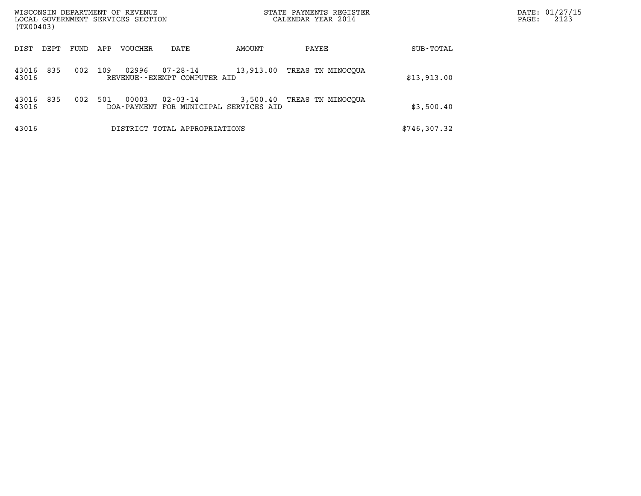| WISCONSIN DEPARTMENT OF REVENUE<br>LOCAL GOVERNMENT SERVICES SECTION<br>(TX00403) |      |      |     |                |                                          | STATE PAYMENTS REGISTER<br>CALENDAR YEAR 2014      |                   |              | DATE: 01/27/15<br>2123<br>PAGE: |
|-----------------------------------------------------------------------------------|------|------|-----|----------------|------------------------------------------|----------------------------------------------------|-------------------|--------------|---------------------------------|
| DIST                                                                              | DEPT | FUND | APP | <b>VOUCHER</b> | DATE                                     | AMOUNT                                             | PAYEE             | SUB-TOTAL    |                                 |
| 43016<br>43016                                                                    | 835  | 002  | 109 | 02996          | 07-28-14<br>REVENUE--EXEMPT COMPUTER AID | 13,913.00                                          | TREAS TN MINOCOUA | \$13,913.00  |                                 |
| 43016<br>43016                                                                    | 835  | 002  | 501 | 00003          | 02-03-14                                 | 3,500.40<br>DOA-PAYMENT FOR MUNICIPAL SERVICES AID | TREAS TN MINOCQUA | \$3,500.40   |                                 |
| 43016                                                                             |      |      |     |                | DISTRICT TOTAL APPROPRIATIONS            |                                                    |                   | \$746,307.32 |                                 |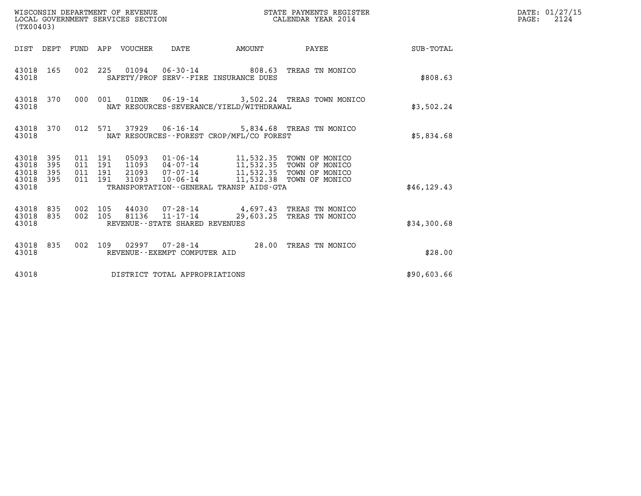| WISCONSIN DEPARTMENT OF REVENUE<br>LOCAL GOVERNMENT SERVICES SECTION<br>(TX00403)                           |                                                                                                       | STATE PAYMENTS REGISTER<br>CALENDAR YEAR 2014 |                 | DATE: 01/27/15<br>$\mathtt{PAGE:}$<br>2124 |
|-------------------------------------------------------------------------------------------------------------|-------------------------------------------------------------------------------------------------------|-----------------------------------------------|-----------------|--------------------------------------------|
| DIST DEPT FUND APP VOUCHER DATE                                                                             | AMOUNT                                                                                                |                                               | PAYEE SUB-TOTAL |                                            |
| 43018 165<br>43018                                                                                          | 002 225 01094 06-30-14 808.63 TREAS TN MONICO<br>SAFETY/PROF SERV--FIRE INSURANCE DUES                |                                               | \$808.63        |                                            |
| 43018 370<br>000 001<br>43018                                                                               | 01DNR  06-19-14  3,502.24 TREAS TOWN MONICO<br>NAT RESOURCES-SEVERANCE/YIELD/WITHDRAWAL               |                                               | \$3,502.24      |                                            |
| 43018                                                                                                       | 43018 370 012 571 37929 06-16-14 5,834.68 TREAS TN MONICO<br>NAT RESOURCES--FOREST CROP/MFL/CO FOREST |                                               | \$5,834.68      |                                            |
| 43018 395<br>011 191<br>395<br>011 191<br>43018<br>395<br>011 191<br>43018<br>43018 395<br>011 191<br>43018 | 31093  10-06-14  11,532.38  TOWN OF MONICO<br>TRANSPORTATION--GENERAL TRANSP AIDS-GTA                 |                                               | \$46, 129.43    |                                            |
| 43018 835<br>002 105<br>002 105<br>43018 835<br>43018                                                       | 44030 07-28-14 4,697.43 TREAS TN MONICO<br>$81136$ $11 - 17 - 14$<br>REVENUE--STATE SHARED REVENUES   | 29,603.25 TREAS TN MONICO                     | \$34,300.68     |                                            |
| 43018                                                                                                       | 43018 835 002 109 02997 07-28-14 28.00 TREAS TN MONICO<br>REVENUE--EXEMPT COMPUTER AID                |                                               | \$28.00         |                                            |
| 43018                                                                                                       | DISTRICT TOTAL APPROPRIATIONS                                                                         |                                               | \$90,603.66     |                                            |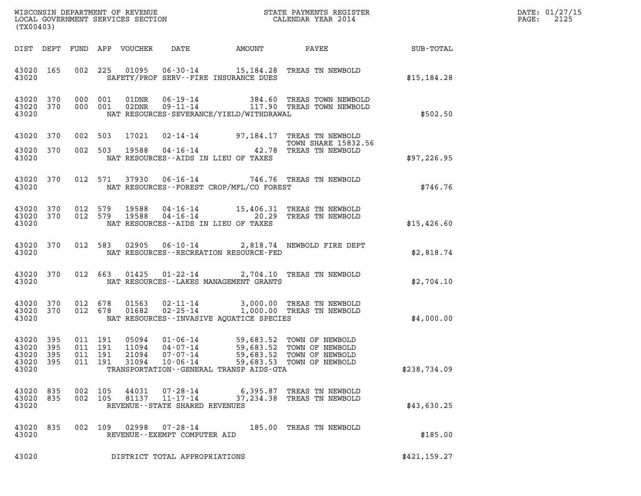| DATE: | 01/27/15 |
|-------|----------|
| PAGE: | 2125     |

| (TX00403)                                                 |                        |  |                                          |                         |                                                                  |                                             |                                                                                                                                                                                                                                              |               | DATE: 01/27/15<br>2125<br>$\mathtt{PAGE:}$ |
|-----------------------------------------------------------|------------------------|--|------------------------------------------|-------------------------|------------------------------------------------------------------|---------------------------------------------|----------------------------------------------------------------------------------------------------------------------------------------------------------------------------------------------------------------------------------------------|---------------|--------------------------------------------|
|                                                           |                        |  |                                          |                         |                                                                  |                                             |                                                                                                                                                                                                                                              |               |                                            |
| 43020                                                     |                        |  |                                          |                         |                                                                  | SAFETY/PROF SERV--FIRE INSURANCE DUES       | 43020 165 002 225 01095 06-30-14 15,184.28 TREAS TN NEWBOLD                                                                                                                                                                                  | \$15, 184.28  |                                            |
| 43020                                                     |                        |  |                                          |                         |                                                                  | NAT RESOURCES-SEVERANCE/YIELD/WITHDRAWAL    | $\begin{array}{cccc} 43020& 370& 000& 001& 01 \text{DNR} & 06\text{-}19\text{-}14 & & 384.60 & \text{TREAS TOWN NEWBOLD} \\ 43020& 370& 000& 001& 02 \text{DNR} & 09\text{-}11\text{-}14 & & 117.90 & \text{TREAS TOWN NEWBOLD} \end{array}$ | \$502.50      |                                            |
|                                                           | 43020 370              |  | 002 503                                  |                         |                                                                  |                                             | 17021  02-14-14  97,184.17  TREAS TN NEWBOLD<br><b>TOWN SHARE 15832.56</b>                                                                                                                                                                   |               |                                            |
| 43020 370<br>43020                                        |                        |  |                                          |                         |                                                                  | NAT RESOURCES--AIDS IN LIEU OF TAXES        | TOWN SHARE 15832.<br>002 503 19588 04-16-14 42.78 TREAS TN NEWBOLD                                                                                                                                                                           | \$97,226.95   |                                            |
| 43020                                                     | 43020 370              |  |                                          |                         |                                                                  | NAT RESOURCES--FOREST CROP/MFL/CO FOREST    | 012 571 37930 06-16-14 746.76 TREAS TN NEWBOLD                                                                                                                                                                                               | \$746.76      |                                            |
| 43020                                                     | 43020 370<br>43020 370 |  |                                          |                         |                                                                  | NAT RESOURCES--AIDS IN LIEU OF TAXES        | 012 579 19588 04-16-14 15,406.31 TREAS TN NEWBOLD<br>012 579 19588 04-16-14 20.29 TREAS TN NEWBOLD                                                                                                                                           | \$15,426.60   |                                            |
| 43020                                                     |                        |  |                                          |                         |                                                                  | NAT RESOURCES - - RECREATION RESOURCE - FED | 43020 370 012 583 02905 06-10-14 2,818.74 NEWBOLD FIRE DEPT                                                                                                                                                                                  | \$2,818.74    |                                            |
| 43020                                                     | 43020 370              |  |                                          |                         |                                                                  | NAT RESOURCES - - LAKES MANAGEMENT GRANTS   | 012 663 01425 01-22-14 2,704.10 TREAS TN NEWBOLD                                                                                                                                                                                             | \$2,704.10    |                                            |
| 43020                                                     |                        |  |                                          |                         |                                                                  |                                             | 43020 370 012 678 01563 02-11-14 3,000.00 TREAS TN NEWBOLD 43020 370 012 678 01682 02-25-14 1,000.00 TREAS TN NEWBOLD<br>NAT RESOURCES - INVASIVE AQUATICE SPECIES                                                                           | \$4,000.00    |                                            |
| 43020 395<br>43020 395<br>43020 395<br>43020 395<br>43020 |                        |  | 011 191<br>011 191<br>011 191<br>011 191 | 11094<br>21094<br>31094 | 05094   01-06-14<br>04-07-14<br>$07 - 07 - 14$<br>$10 - 06 - 14$ | TRANSPORTATION--GENERAL TRANSP AIDS-GTA     | 59,683.52 TOWN OF NEWBOLD<br>59,683.52 TOWN OF NEWBOLD<br>59,683.52 TOWN OF NEWBOLD<br>59,683.53 TOWN OF NEWBOLD                                                                                                                             | \$238,734.09  |                                            |
| 43020 835<br>43020 835<br>43020                           |                        |  | 002 105<br>002 105                       | 44031<br>81137          | 07-28-14<br>$11 - 17 - 14$<br>REVENUE--STATE SHARED REVENUES     |                                             | 6,395.87 TREAS TN NEWBOLD<br>37,234.38 TREAS TN NEWBOLD                                                                                                                                                                                      | \$43,630.25   |                                            |
| 43020 835<br>43020                                        |                        |  | 002 109                                  | 02998                   | 07-28-14<br>REVENUE--EXEMPT COMPUTER AID                         |                                             | 185.00 TREAS TN NEWBOLD                                                                                                                                                                                                                      | \$185.00      |                                            |
| 43020                                                     |                        |  |                                          |                         | DISTRICT TOTAL APPROPRIATIONS                                    |                                             |                                                                                                                                                                                                                                              | \$421, 159.27 |                                            |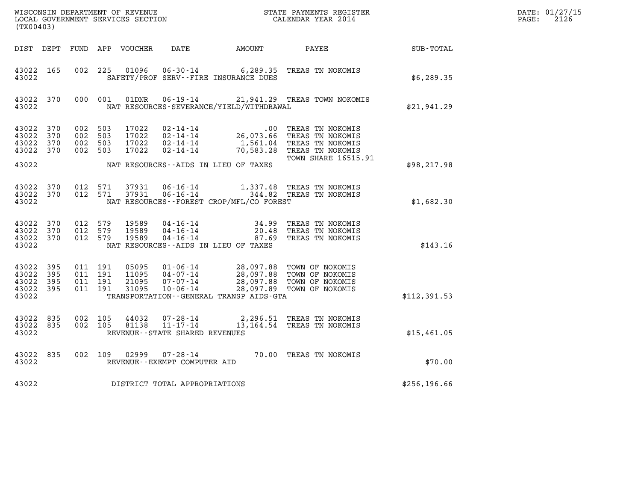| DATE: | 01/27/15 |
|-------|----------|
| PAGE: | 2126     |

| WISCONSIN DEPARTMENT OF REVENUE<br>LOCAL GOVERNMENT SERVICES SECTION<br>(TX00403) |                   |                                          |     |                                  |                                                                       | STATE PAYMENTS REGISTER<br>CALENDAR YEAR 2014                     |                                                                                                                  |               | DATE: 01/27/15<br>$\mathtt{PAGE:}$<br>2126 |
|-----------------------------------------------------------------------------------|-------------------|------------------------------------------|-----|----------------------------------|-----------------------------------------------------------------------|-------------------------------------------------------------------|------------------------------------------------------------------------------------------------------------------|---------------|--------------------------------------------|
| DIST DEPT                                                                         |                   |                                          |     | FUND APP VOUCHER                 | DATE                                                                  | AMOUNT                                                            | PAYEE                                                                                                            | SUB-TOTAL     |                                            |
| 43022 165<br>43022                                                                |                   | 002 225                                  |     | 01096                            | $06 - 30 - 14$                                                        | SAFETY/PROF SERV--FIRE INSURANCE DUES                             | 6,289.35 TREAS TN NOKOMIS                                                                                        | \$6,289.35    |                                            |
| 43022 370<br>43022                                                                |                   | 000 001                                  |     | 01DNR                            |                                                                       | NAT RESOURCES-SEVERANCE/YIELD/WITHDRAWAL                          | 06-19-14 21, 941.29 TREAS TOWN NOKOMIS                                                                           | \$21,941.29   |                                            |
| 43022 370<br>43022<br>43022<br>43022                                              | 370<br>370<br>370 | 002 503<br>002<br>002 503<br>002 503     | 503 | 17022<br>17022<br>17022<br>17022 | 02-14-14<br>$02 - 14 - 14$<br>$02 - 14 - 14$<br>$02 - 14 - 14$        | $.00\,$<br>26,073.66<br>1,561.04<br>70,583.28                     | TREAS TN NOKOMIS<br>TREAS TN NOKOMIS<br>TREAS TN NOKOMIS<br>TREAS TN NOKOMIS                                     |               |                                            |
| 43022                                                                             |                   |                                          |     |                                  |                                                                       | NAT RESOURCES--AIDS IN LIEU OF TAXES                              | <b>TOWN SHARE 16515.91</b>                                                                                       | \$98, 217.98  |                                            |
| 43022 370<br>43022 370<br>43022                                                   |                   | 012 571<br>012 571                       |     | 37931<br>37931                   | 06-16-14                                                              | NAT RESOURCES - - FOREST CROP/MFL/CO FOREST                       | 1,337.48 TREAS TN NOKOMIS<br>06-16-14 344.82 TREAS TN NOKOMIS                                                    | \$1,682.30    |                                            |
| 43022 370<br>43022 370<br>43022 370<br>43022                                      |                   | 012 579<br>012 579<br>012 579            |     | 19589<br>19589<br>19589          | 04-16-14<br>04-16-14<br>$04 - 16 - 14$                                | 34.99<br>20.48<br>87.69<br>NAT RESOURCES -- AIDS IN LIEU OF TAXES | TREAS TN NOKOMIS<br>TREAS TN NOKOMIS<br>TREAS TN NOKOMIS                                                         | \$143.16      |                                            |
| 43022 395<br>43022 395<br>43022<br>43022 395<br>43022                             | 395               | 011 191<br>011 191<br>011 191<br>011 191 |     | 05095<br>11095<br>21095<br>31095 | $01 - 06 - 14$<br>04-07-14<br>07-07-14<br>$10 - 06 - 14$              | TRANSPORTATION--GENERAL TRANSP AIDS-GTA                           | 28,097.88 TOWN OF NOKOMIS<br>28,097.88 TOWN OF NOKOMIS<br>28,097.88 TOWN OF NOKOMIS<br>28,097.89 TOWN OF NOKOMIS | \$112,391.53  |                                            |
| 43022 835<br>43022 835<br>43022                                                   |                   | 002 105<br>002 105                       |     | 44032<br>81138                   | $07 - 28 - 14$<br>$11 - 17 - 14$<br>REVENUE - - STATE SHARED REVENUES |                                                                   | 2,296.51 TREAS TN NOKOMIS<br>13,164.54 TREAS TN NOKOMIS                                                          | \$15,461.05   |                                            |
| 43022<br>43022                                                                    | 835               | 002 109                                  |     | 02999                            | $07 - 28 - 14$<br>REVENUE--EXEMPT COMPUTER AID                        |                                                                   | 70.00 TREAS TN NOKOMIS                                                                                           | \$70.00       |                                            |
| 43022                                                                             |                   |                                          |     |                                  | DISTRICT TOTAL APPROPRIATIONS                                         |                                                                   |                                                                                                                  | \$256, 196.66 |                                            |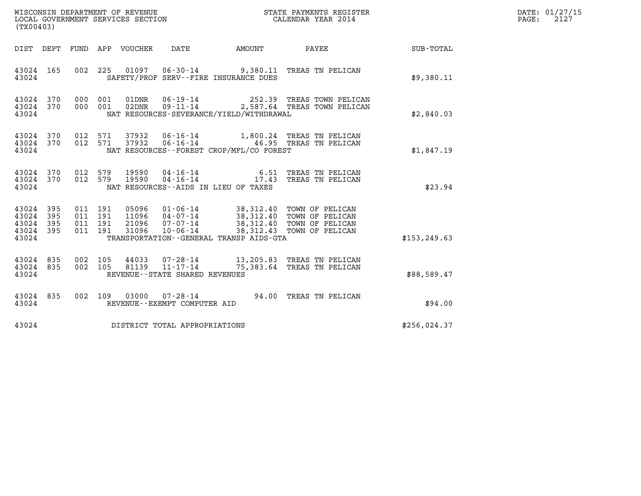| WISCONSIN DEPARTMENT OF REVENUE<br>LOCAL GOVERNMENT SERVICES SECTION | STATE PAYMENTS REGISTER<br>CALENDAR YEAR 2014 | DATE: 01/27/15<br>2127<br>PAGE: |
|----------------------------------------------------------------------|-----------------------------------------------|---------------------------------|

| (TX00403)                                                       |                                                                                                                                       |                                                                                                                                                                                          |               |
|-----------------------------------------------------------------|---------------------------------------------------------------------------------------------------------------------------------------|------------------------------------------------------------------------------------------------------------------------------------------------------------------------------------------|---------------|
| DIST DEPT                                                       | FUND APP VOUCHER DATE                                                                                                                 | <b>PAYEE</b> PAYER<br><b>AMOUNT</b>                                                                                                                                                      | SUB-TOTAL     |
| 43024 165<br>43024                                              | 002 225<br>SAFETY/PROF SERV--FIRE INSURANCE DUES                                                                                      | 01097  06-30-14  9,380.11  TREAS TN PELICAN                                                                                                                                              | \$9,380.11    |
| 370<br>43024<br>370<br>43024<br>43024                           | 01DNR<br>000<br>001<br>001<br>000<br>NAT RESOURCES-SEVERANCE/YIELD/WITHDRAWAL                                                         | 06-19-14 252.39 TREAS TOWN PELICAN<br>02DNR  09-11-14  2,587.64 TREAS TOWN PELICAN                                                                                                       | \$2,840.03    |
| 370<br>43024<br>43024<br>370<br>43024                           | 012<br>012<br>NAT RESOURCES--FOREST CROP/MFL/CO FOREST                                                                                | 571 37932 06-16-14 1,800.24 TREAS TN PELICAN<br>571 37932 06-16-14 46.95 TREAS TN PELICAN                                                                                                | \$1,847.19    |
| 43024 370<br>43024<br>370<br>43024                              | 012 579 19590 04-16-14 6.51 TREAS TN PELICAN<br>012 579 19590 04-16-14 17.43 TREAS TN PELICAN<br>NAT RESOURCES--AIDS IN LIEU OF TAXES |                                                                                                                                                                                          | \$23.94       |
| 395<br>43024<br>43024<br>395<br>43024 395<br>43024 395<br>43024 | 011 191<br>011<br>191<br>011<br>191<br>011 191<br>TRANSPORTATION - - GENERAL TRANSP AIDS - GTA                                        | 05096  01-06-14  38,312.40  TOWN OF PELICAN<br>11096  04-07-14  38,312.40  TOWN OF PELICAN<br>21096  07-07-14  38,312.40  TOWN OF PELICAN<br>31096  10-06-14  38,312.43  TOWN OF PELICAN | \$153, 249.63 |
| 43024<br>835<br>43024<br>835<br>43024                           | 002<br>105<br>002<br>105<br>REVENUE - - STATE SHARED REVENUES                                                                         | 44033  07-28-14  13,205.83 TREAS TN PELICAN<br>81139  11-17-14  75,383.64 TREAS TN PELICAN                                                                                               | \$88,589.47   |
| 43024<br>835<br>43024                                           | 109<br>002<br>REVENUE--EXEMPT COMPUTER AID                                                                                            | 03000  07-28-14  94.00  TREAS TN PELICAN                                                                                                                                                 | \$94.00       |
| 43024                                                           | DISTRICT TOTAL APPROPRIATIONS                                                                                                         |                                                                                                                                                                                          | \$256,024.37  |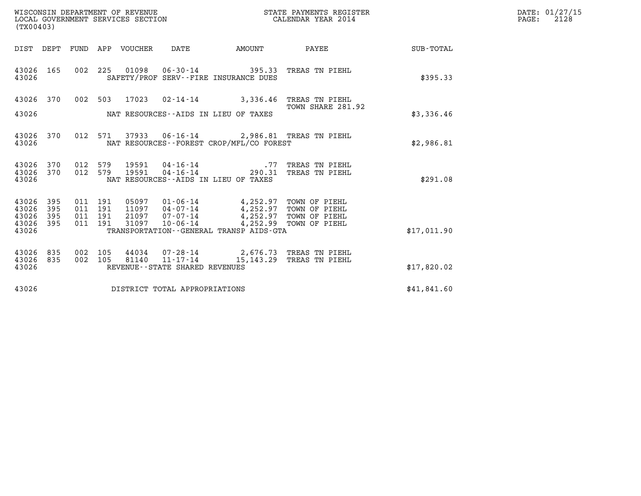| WISCONSIN DEPARTMENT OF REVENUE<br>LOCAL GOVERNMENT SERVICES SECTION<br>(TX00403) | STATE PAYMENTS REGISTER<br>CALENDAR YEAR 2014 | DATE: 01/27/15<br>2128<br>PAGE: |
|-----------------------------------------------------------------------------------|-----------------------------------------------|---------------------------------|

| (TX00403)                                 |                          |                          |                          |       |                                |                                                                            |                                                                                          |             |
|-------------------------------------------|--------------------------|--------------------------|--------------------------|-------|--------------------------------|----------------------------------------------------------------------------|------------------------------------------------------------------------------------------|-------------|
| DIST                                      | DEPT                     | FUND                     |                          |       | APP VOUCHER DATE AMOUNT        |                                                                            | PAYEE                                                                                    | SUB-TOTAL   |
| 43026<br>43026                            | 165                      | 002                      | 225                      |       |                                | SAFETY/PROF SERV--FIRE INSURANCE DUES                                      | 01098  06-30-14  395.33  TREAS TN PIEHL                                                  | \$395.33    |
| 43026<br>43026                            | 370                      | 002                      |                          |       |                                | NAT RESOURCES--AIDS IN LIEU OF TAXES                                       | 503 17023 02-14-14 3,336.46 TREAS TN PIEHL<br>TOWN SHARE 281.92                          | \$3,336.46  |
| 43026<br>43026                            | 370                      |                          |                          |       |                                | NAT RESOURCES - - FOREST CROP/MFL/CO FOREST                                | 012 571 37933 06-16-14 2,986.81 TREAS TN PIEHL                                           | \$2,986.81  |
| 43026<br>43026<br>43026                   | 370<br>370               | 012<br>012               | 579<br>579               |       |                                | NAT RESOURCES -- AIDS IN LIEU OF TAXES                                     | 19591  04-16-14  77 TREAS TN PIEHL<br>19591  04-16-14  290.31 TREAS TN PIEHL             | \$291.08    |
| 43026<br>43026<br>43026<br>43026<br>43026 | 395<br>395<br>395<br>395 | 011<br>011<br>011<br>011 | 191<br>191<br>191<br>191 | 31097 |                                | 10-06-14 4,252.99 TOWN OF PIEHL<br>TRANSPORTATION--GENERAL TRANSP AIDS-GTA |                                                                                          | \$17,011.90 |
| 43026<br>43026<br>43026                   | 835<br>835               | 002<br>002               | 105<br>105               |       | REVENUE--STATE SHARED REVENUES |                                                                            | 44034  07-28-14  2,676.73  TREAS TN PIEHL<br>81140  11-17-14  15, 143.29  TREAS TN PIEHL | \$17,820.02 |
| 43026                                     |                          |                          |                          |       | DISTRICT TOTAL APPROPRIATIONS  |                                                                            |                                                                                          | \$41,841.60 |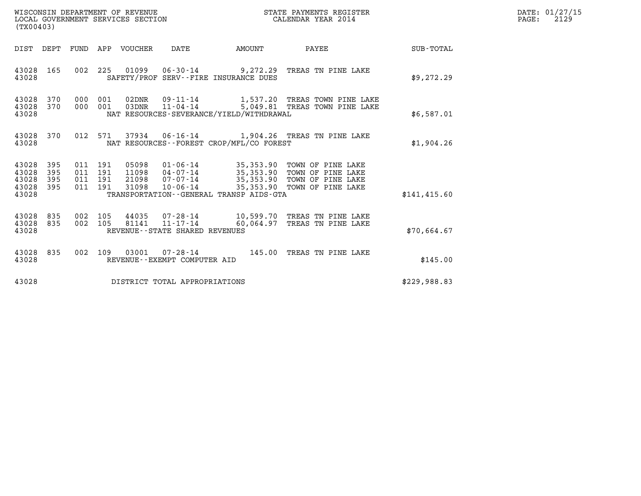| WISCONSIN DEPARTMENT OF REVENUE   | STATE PAYMENTS REGISTER | DATE: 01/27/15 |
|-----------------------------------|-------------------------|----------------|
| LOCAL GOVERNMENT SERVICES SECTION | CALENDAR YEAR 2014      | 2129<br>PAGE:  |

| WISCONSIN DEPARTMENT OF REVENUE<br>LOCAL GOVERNMENT SERVICES SECTION<br>(TX00403) |                   |                                          |         |                                 |                                                  |                                              | STATE PAYMENTS REGISTER<br>CALENDAR YEAR 2014                                                    |              | DATE: 01/27/15<br>PAGE:<br>2129 |
|-----------------------------------------------------------------------------------|-------------------|------------------------------------------|---------|---------------------------------|--------------------------------------------------|----------------------------------------------|--------------------------------------------------------------------------------------------------|--------------|---------------------------------|
|                                                                                   |                   |                                          |         | DIST DEPT FUND APP VOUCHER DATE |                                                  | <b>AMOUNT</b>                                | PAYEE                                                                                            | SUB-TOTAL    |                                 |
| 43028 165<br>43028                                                                |                   | 002                                      |         |                                 |                                                  | SAFETY/PROF SERV--FIRE INSURANCE DUES        | 225  01099  06-30-14  9,272.29  TREAS TN PINE LAKE                                               | \$9,272.29   |                                 |
| 43028 370<br>43028 370<br>43028                                                   |                   | 000 001                                  | 000 001 |                                 |                                                  | NAT RESOURCES-SEVERANCE/YIELD/WITHDRAWAL     | 02DNR  09-11-14  1,537.20 TREAS TOWN PINE LAKE<br>03DNR  11-04-14  5,049.81 TREAS TOWN PINE LAKE | \$6,587.01   |                                 |
| 43028 370<br>43028                                                                |                   |                                          |         |                                 |                                                  | NAT RESOURCES - - FOREST CROP/MFL/CO FOREST  | 012 571 37934 06-16-14 1,904.26 TREAS TN PINE LAKE                                               | \$1,904.26   |                                 |
| 43028<br>43028<br>43028<br>43028 395<br>43028                                     | 395<br>395<br>395 | 011 191<br>011 191<br>011 191<br>011 191 |         |                                 |                                                  | TRANSPORTATION - - GENERAL TRANSP AIDS - GTA | 21098 07-07-14 35,353.90 TOWN OF PINE LAKE<br>31098  10-06-14  35,353.90  TOWN OF PINE LAKE      | \$141,415.60 |                                 |
| 43028 835<br>43028 835<br>43028                                                   |                   | 002 105<br>002                           | 105     |                                 | 81141 11-17-14<br>REVENUE--STATE SHARED REVENUES |                                              | 44035 07-28-14 10,599.70 TREAS TN PINE LAKE<br>60,064.97 TREAS TN PINE LAKE                      | \$70,664.67  |                                 |
| 43028 835<br>43028                                                                |                   |                                          |         |                                 | REVENUE--EXEMPT COMPUTER AID                     |                                              | 002 109 03001 07-28-14 145.00 TREAS TN PINE LAKE                                                 | \$145.00     |                                 |
| 43028                                                                             |                   |                                          |         |                                 | DISTRICT TOTAL APPROPRIATIONS                    |                                              |                                                                                                  | \$229,988.83 |                                 |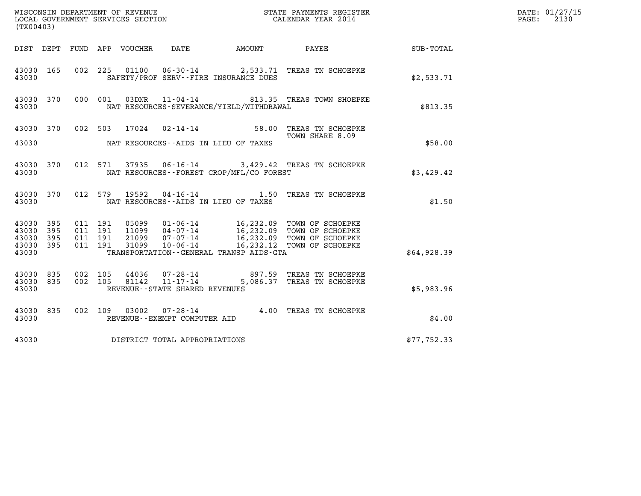| (TX00403)                                 |                              |                    |                            |       |                                |                                              |                                                                                                                                                                                              | DATE: 01/27/15<br>2130<br>PAGE: |  |
|-------------------------------------------|------------------------------|--------------------|----------------------------|-------|--------------------------------|----------------------------------------------|----------------------------------------------------------------------------------------------------------------------------------------------------------------------------------------------|---------------------------------|--|
|                                           |                              |                    | DIST DEPT FUND APP VOUCHER |       | DATE                           |                                              | AMOUNT PAYEE                                                                                                                                                                                 | SUB-TOTAL                       |  |
| 43030 165<br>43030                        |                              |                    |                            |       |                                | SAFETY/PROF SERV--FIRE INSURANCE DUES        | 002 225 01100 06-30-14 2,533.71 TREAS TN SCHOEPKE                                                                                                                                            | \$2,533.71                      |  |
| 43030                                     | 43030 370                    |                    | 000 001                    | 03DNR |                                | NAT RESOURCES-SEVERANCE/YIELD/WITHDRAWAL     | 11-04-14 813.35 TREAS TOWN SHOEPKE                                                                                                                                                           | \$813.35                        |  |
|                                           |                              |                    |                            |       |                                |                                              | 43030 370 002 503 17024 02-14-14 58.00 TREAS TN SCHOEPKE<br>TOWN SHARE 8.09                                                                                                                  |                                 |  |
| 43030                                     |                              |                    |                            |       |                                | NAT RESOURCES--AIDS IN LIEU OF TAXES         |                                                                                                                                                                                              | \$58.00                         |  |
| 43030                                     | 43030 370                    |                    | 012 571                    |       |                                | NAT RESOURCES--FOREST CROP/MFL/CO FOREST     | 37935  06-16-14  3,429.42  TREAS TN SCHOEPKE                                                                                                                                                 | \$3,429.42                      |  |
| 43030                                     | 43030 370                    |                    | 012 579                    |       |                                | NAT RESOURCES--AIDS IN LIEU OF TAXES         | 19592  04-16-14   1.50 TREAS TN SCHOEPKE                                                                                                                                                     | \$1.50                          |  |
| 43030<br>43030<br>43030<br>43030<br>43030 | - 395<br>395<br>395<br>- 395 | 011 191<br>011 191 | 011 191<br>011 191         |       |                                | TRANSPORTATION - - GENERAL TRANSP AIDS - GTA | 05099  01-06-14  16,232.09  TOWN OF SCHOEPKE<br>11099  04-07-14  16,232.09  TOWN OF SCHOEPKE<br>21099  07-07-14  16,232.09  TOWN OF SCHOEPKE<br>31099  10-06-14  16,232.12  TOWN OF SCHOEPKE | \$64,928.39                     |  |
| 43030 835<br>43030 835<br>43030           |                              |                    |                            |       | REVENUE--STATE SHARED REVENUES |                                              | 002 105 44036 07-28-14 897.59 TREAS TN SCHOEPKE 002 105 81142 11-17-14 5,086.37 TREAS TN SCHOEPKE                                                                                            | \$5,983.96                      |  |
| 43030                                     | 43030 835                    |                    |                            |       | REVENUE--EXEMPT COMPUTER AID   |                                              | 002 109 03002 07-28-14 4.00 TREAS TN SCHOEPKE                                                                                                                                                | \$4.00                          |  |
| 43030                                     |                              |                    |                            |       | DISTRICT TOTAL APPROPRIATIONS  |                                              |                                                                                                                                                                                              | \$77,752.33                     |  |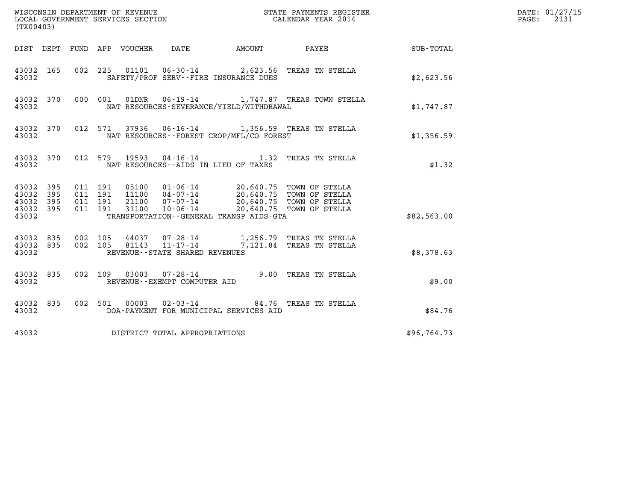| (TX00403)                                                                                                                                                                                                                                                                                                                                |             | DATE: 01/27/15<br>$\mathtt{PAGE:}$<br>2131 |
|------------------------------------------------------------------------------------------------------------------------------------------------------------------------------------------------------------------------------------------------------------------------------------------------------------------------------------------|-------------|--------------------------------------------|
| AMOUNT PAYEE SUB-TOTAL<br>DIST DEPT FUND APP VOUCHER DATE                                                                                                                                                                                                                                                                                |             |                                            |
| 002 225 01101 06-30-14 2,623.56 TREAS TN STELLA<br>43032 165<br>43032<br>SAFETY/PROF SERV--FIRE INSURANCE DUES                                                                                                                                                                                                                           | \$2,623.56  |                                            |
| 000 001 01DNR 06-19-14 1,747.87 TREAS TOWN STELLA<br>43032 370<br>NAT RESOURCES-SEVERANCE/YIELD/WITHDRAWAL<br>43032                                                                                                                                                                                                                      | \$1,747.87  |                                            |
| 43032 370 012 571 37936 06-16-14 1,356.59 TREAS TN STELLA<br>NAT RESOURCES - - FOREST CROP/MFL/CO FOREST<br>43032                                                                                                                                                                                                                        | \$1,356.59  |                                            |
| 43032 370 012 579 19593 04-16-14 1.32 TREAS TN STELLA<br>43032<br>NAT RESOURCES -- AIDS IN LIEU OF TAXES                                                                                                                                                                                                                                 | \$1.32      |                                            |
| 05100  01-06-14  20,640.75  TOWN OF STELLA<br>11100  04-07-14  20,640.75  TOWN OF STELLA<br>21100  07-07-14  20,640.75  TOWN OF STELLA<br>31100  10-06-14  20,640.75  TOWN OF STELLA<br>43032 395<br>011 191<br>43032 395<br>011 191<br>43032 395<br>011 191<br>43032 395<br>011 191<br>TRANSPORTATION--GENERAL TRANSP AIDS-GTA<br>43032 | \$82,563.00 |                                            |
| 44037  07-28-14   1,256.79  TREAS TN STELLA<br>81143   11-17-14   7,121.84  TREAS TN STELLA<br>43032 835 002 105<br>002 105<br>43032 835<br>43032<br>REVENUE--STATE SHARED REVENUES                                                                                                                                                      | \$8,378.63  |                                            |
| 002 109 03003 07-28-14 9.00 TREAS TN STELLA<br>43032 835<br>43032<br>REVENUE--EXEMPT COMPUTER AID                                                                                                                                                                                                                                        | \$9.00      |                                            |
| 002 501 00003 02-03-14 84.76 TREAS TN STELLA<br>43032 835<br>43032<br>DOA-PAYMENT FOR MUNICIPAL SERVICES AID                                                                                                                                                                                                                             | \$84.76     |                                            |
| DISTRICT TOTAL APPROPRIATIONS<br>43032                                                                                                                                                                                                                                                                                                   | \$96,764.73 |                                            |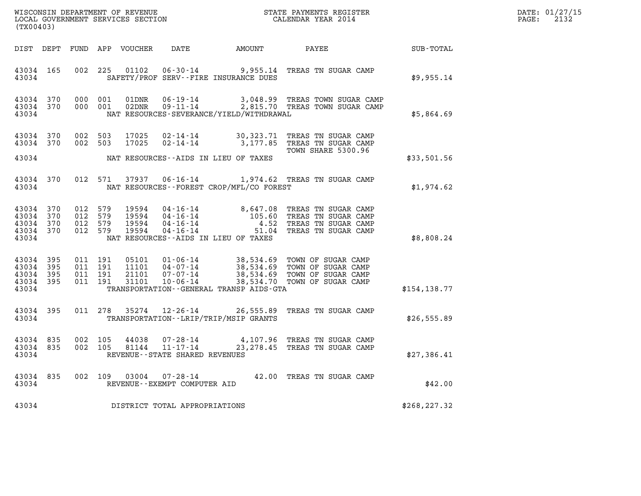| DATE: | 01/27/15 |
|-------|----------|
| PAGE: | 2132     |

| WISCONSIN DEPARTMENT OF REVENUE<br>LOCAL GOVERNMENT SERVICES SECTION<br>(TYOLOLOR) CALENDAR YEAR 2014<br>(TX00403) |           |                    |                               |                            |                                                |                                          |                                                                                                                                                                                               |                 | DATE: 01/27/15<br>2132<br>$\mathtt{PAGE:}$ |
|--------------------------------------------------------------------------------------------------------------------|-----------|--------------------|-------------------------------|----------------------------|------------------------------------------------|------------------------------------------|-----------------------------------------------------------------------------------------------------------------------------------------------------------------------------------------------|-----------------|--------------------------------------------|
|                                                                                                                    |           |                    |                               | DIST DEPT FUND APP VOUCHER | DATE                                           | AMOUNT                                   |                                                                                                                                                                                               | PAYEE SUB-TOTAL |                                            |
| 43034                                                                                                              | 43034 165 |                    | 002 225                       |                            |                                                | SAFETY/PROF SERV--FIRE INSURANCE DUES    | 01102  06-30-14  9,955.14  TREAS TN SUGAR CAMP                                                                                                                                                | \$9,955.14      |                                            |
| 43034 370<br>43034                                                                                                 | 43034 370 |                    |                               |                            |                                                | NAT RESOURCES-SEVERANCE/YIELD/WITHDRAWAL | $000$ $001$ $01DNR$ $06-19-14$ $3,048.99$ TREAS TOWN SUGAR CAMP $000$ $001$ $02DNR$ $09-11-14$ $2,815.70$ TREAS TOWN SUGAR CAMP                                                               | \$5,864.69      |                                            |
| 43034 370<br>43034 370<br>43034                                                                                    |           | 002 503            | 002 503                       | 17025<br>17025             |                                                | NAT RESOURCES--AIDS IN LIEU OF TAXES     | 02-14-14 30,323.71 TREAS TN SUGAR CAMP<br>02-14-14 3,177.85 TREAS TN SUGAR CAMP<br>TOWN SHARE 5300.96                                                                                         | \$33,501.56     |                                            |
| 43034                                                                                                              | 43034 370 |                    |                               |                            |                                                | NAT RESOURCES--FOREST CROP/MFL/CO FOREST | 012 571 37937 06-16-14 1,974.62 TREAS TN SUGAR CAMP                                                                                                                                           | \$1,974.62      |                                            |
| 43034 370<br>43034 370<br>43034 370<br>43034 370<br>43034                                                          |           | 012 579            | 012 579<br>012 579<br>012 579 |                            |                                                | NAT RESOURCES -- AIDS IN LIEU OF TAXES   | 19594  04-16-14  8,647.08  TREAS TN SUGAR CAMP<br>19594  04-16-14  105.60  TREAS TN SUGAR CAMP<br>19594  04-16-14   4.52  TREAS TN SUGAR CAMP<br>19594  04-16-14   51.04  TREAS TN SUGAR CAMP | \$8,808.24      |                                            |
| 43034 395<br>43034 395<br>43034 395<br>43034 395<br>43034                                                          |           |                    |                               |                            |                                                | TRANSPORTATION--GENERAL TRANSP AIDS-GTA  |                                                                                                                                                                                               | \$154, 138.77   |                                            |
| 43034                                                                                                              | 43034 395 |                    |                               |                            |                                                | TRANSPORTATION - - LRIP/TRIP/MSIP GRANTS | 011 278 35274 12-26-14 26,555.89 TREAS TN SUGAR CAMP                                                                                                                                          | \$26,555.89     |                                            |
| 43034 835<br>43034 835<br>43034                                                                                    |           | 002 105<br>002 105 |                               | 44038<br>81144             | 11-17-14<br>REVENUE - - STATE SHARED REVENUES  |                                          | 07-28-14 4,107.96 TREAS TN SUGAR CAMP<br>23, 278.45 TREAS TN SUGAR CAMP                                                                                                                       | \$27,386.41     |                                            |
| 43034<br>43034                                                                                                     | 835       |                    | 002 109                       | 03004                      | $07 - 28 - 14$<br>REVENUE--EXEMPT COMPUTER AID |                                          | 42.00 TREAS TN SUGAR CAMP                                                                                                                                                                     | \$42.00         |                                            |
| 43034                                                                                                              |           |                    |                               |                            | DISTRICT TOTAL APPROPRIATIONS                  |                                          |                                                                                                                                                                                               | \$268, 227.32   |                                            |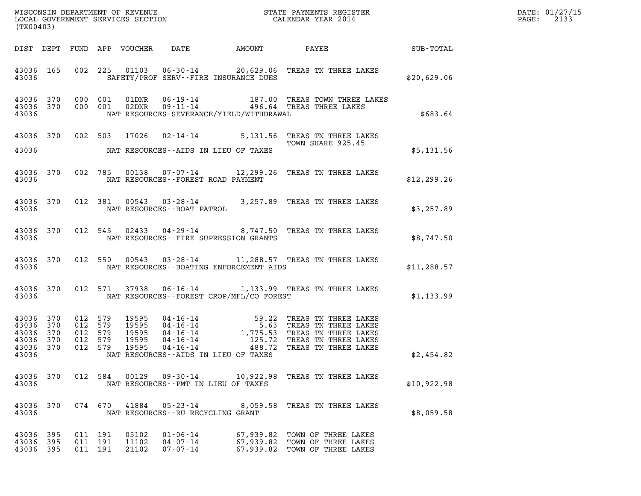| (TX00403)                                                     |         |                                          |                         |                                                | WISCONSIN DEPARTMENT OF REVENUE<br>LOCAL GOVERNMENT SERVICES SECTION<br>CALENDAR YEAR 2014                                                                                                                                                              |                     | DATE: 01/27/15<br>2133<br>$\mathtt{PAGE:}$ |
|---------------------------------------------------------------|---------|------------------------------------------|-------------------------|------------------------------------------------|---------------------------------------------------------------------------------------------------------------------------------------------------------------------------------------------------------------------------------------------------------|---------------------|--------------------------------------------|
|                                                               |         |                                          |                         |                                                |                                                                                                                                                                                                                                                         |                     |                                            |
| 43036                                                         |         |                                          |                         | SAFETY/PROF SERV--FIRE INSURANCE DUES          | 43036 165 002 225 01103 06-30-14 20,629.06 TREAS TN THREE LAKES                                                                                                                                                                                         | \$20,629.06         |                                            |
| 43036                                                         |         |                                          |                         | NAT RESOURCES-SEVERANCE/YIELD/WITHDRAWAL       | $\begin{array}{cccc} 43036 & 370 & 000 & 001 & 01 \text{DNR} & 06\text{-}19\text{-}14 & & 187.00 & \text{TREAS TOWN THREE LAKES} \\ 43036 & 370 & 000 & 001 & 02 \text{DNR} & 09\text{-}11\text{-}14 & & 496.64 & \text{TREAS THREE LAKES} \end{array}$ | \$683.64            |                                            |
|                                                               |         |                                          |                         |                                                | 43036 370 002 503 17026 02-14-14 5,131.56 TREAS TN THREE LAKES<br>TOWN SHARE 925.45                                                                                                                                                                     |                     |                                            |
|                                                               |         |                                          |                         | 43036 MAT RESOURCES--AIDS IN LIEU OF TAXES     |                                                                                                                                                                                                                                                         | \$5,131.56          |                                            |
|                                                               |         |                                          |                         | 43036 MAT RESOURCES--FOREST ROAD PAYMENT       | 43036 370 002 785 00138 07-07-14 12,299.26 TREAS TN THREE LAKES                                                                                                                                                                                         | \$12,299.26         |                                            |
|                                                               |         |                                          |                         |                                                | $43036$ $370$ $012$ $381$ $00543$ $03\text{-}28\text{-}14$ $3,257.89$ TREAS TN THREE LAKES $43036$ $\,$ NAT RESOURCES $\text{-}$ -BOAT PATROL                                                                                                           | \$3,257.89          |                                            |
|                                                               |         |                                          |                         | 43036 MAT RESOURCES--FIRE SUPRESSION GRANTS    | 43036 370 012 545 02433 04-29-14 8,747.50 TREAS TN THREE LAKES                                                                                                                                                                                          | \$8,747.50          |                                            |
|                                                               |         |                                          |                         | 43036 MAT RESOURCES--BOATING ENFORCEMENT AIDS  | 43036 370 012 550 00543 03-28-14 11,288.57 TREAS TN THREE LAKES                                                                                                                                                                                         | LAKES \$11,288.57   |                                            |
|                                                               |         |                                          |                         | 43036 MAT RESOURCES--FOREST CROP/MFL/CO FOREST | 43036 370 012 571 37938 06-16-14 1,133.99 TREAS TN THREE LAKES                                                                                                                                                                                          | LAKES<br>\$1,133.99 |                                            |
| 43036 370<br>43036 370<br>43036 370<br>43036 370<br>43036 370 | 012 579 | 012 579<br>012 579<br>012 579<br>012 579 | 19595                   | NAT RESOURCES -- AIDS IN LIEU OF TAXES         | 19595  04-16-14  59.22 TREAS TN THREE LAKES<br>19595  04-16-14  5.63 TREAS TN THREE LAKES<br>19595  04-16-14  1,775.53 TREAS TN THREE LAKES<br>19595  04-16-14  125.72 TREAS TN THREE LAKES<br>19595  04-16-14                                          | \$2,454.82          |                                            |
| 43036                                                         |         |                                          |                         |                                                |                                                                                                                                                                                                                                                         |                     |                                            |
| 43036 370<br>43036                                            |         |                                          |                         | NAT RESOURCES - PMT IN LIEU OF TAXES           | 012 584 00129 09-30-14 10,922.98 TREAS TN THREE LAKES                                                                                                                                                                                                   | \$10,922.98         |                                            |
| 43036 370<br>43036                                            |         |                                          |                         | NAT RESOURCES -- RU RECYCLING GRANT            | 074 670 41884 05-23-14 8,059.58 TREAS TN THREE LAKES                                                                                                                                                                                                    | \$8,059.58          |                                            |
| 43036 395<br>43036 395<br>43036 395                           | 011     | 011 191<br>191<br>011 191                | 05102<br>11102<br>21102 | 01-06-14<br>$04 - 07 - 14$<br>07-07-14         | 67,939.82 TOWN OF THREE LAKES<br>67,939.82 TOWN OF THREE LAKES<br>67,939.82 TOWN OF THREE LAKES                                                                                                                                                         |                     |                                            |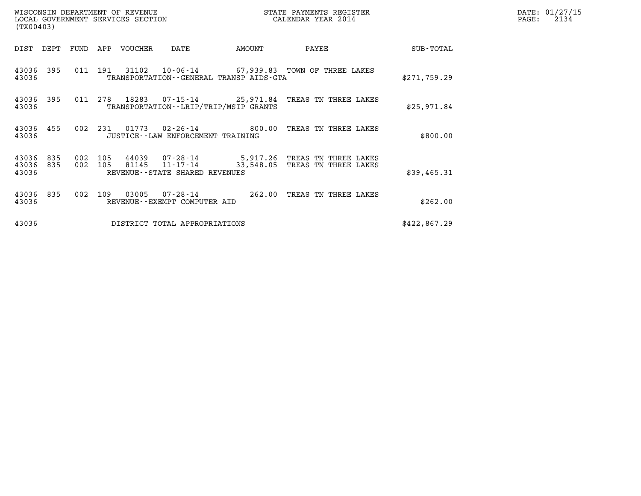| (TX00403)                             |                    | WISCONSIN DEPARTMENT OF REVENUE<br>LOCAL GOVERNMENT SERVICES SECTION |                                              |        | STATE PAYMENTS REGISTER<br>CALENDAR YEAR 2014                                                       |              | DATE: 01/27/15<br>$\mathtt{PAGE:}$<br>2134 |
|---------------------------------------|--------------------|----------------------------------------------------------------------|----------------------------------------------|--------|-----------------------------------------------------------------------------------------------------|--------------|--------------------------------------------|
| DIST DEPT                             |                    | FUND APP VOUCHER                                                     | DATE                                         | AMOUNT | PAYEE                                                                                               | SUB-TOTAL    |                                            |
| 43036 395<br>43036                    |                    |                                                                      | TRANSPORTATION - - GENERAL TRANSP AIDS - GTA |        | 011 191 31102 10-06-14 67,939.83 TOWN OF THREE LAKES                                                | \$271,759.29 |                                            |
| 43036 395<br>43036                    | 011 278            |                                                                      | TRANSPORTATION - - LRIP/TRIP/MSIP GRANTS     |        | 18283  07-15-14  25,971.84  TREAS TN THREE LAKES                                                    | \$25,971.84  |                                            |
| 43036 455<br>43036                    |                    |                                                                      | JUSTICE - - LAW ENFORCEMENT TRAINING         |        | 002 231 01773 02-26-14 600.00 TREAS TN THREE LAKES                                                  | \$800.00     |                                            |
| 43036<br>835<br>43036<br>835<br>43036 | 002 105<br>002 105 |                                                                      | REVENUE--STATE SHARED REVENUES               |        | 44039  07-28-14  5,917.26  TREAS TN THREE LAKES<br>81145  11-17-14  33,548.05  TREAS TN THREE LAKES | \$39,465.31  |                                            |
| 43036 835<br>43036                    | 002 109            |                                                                      | REVENUE--EXEMPT COMPUTER AID                 |        | 03005  07-28-14  262.00 TREAS TN THREE LAKES                                                        | \$262.00     |                                            |
| 43036                                 |                    |                                                                      | DISTRICT TOTAL APPROPRIATIONS                |        |                                                                                                     | \$422,867.29 |                                            |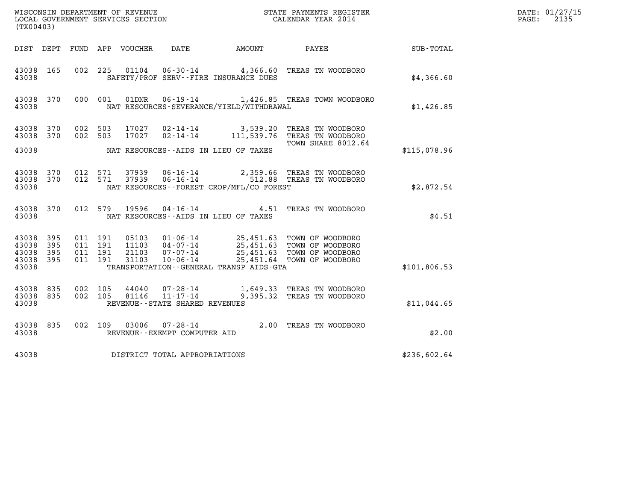| (TX00403)                                                                                                      |                                                                                               |                                                                                                                                                 |              | DATE: 01/27/15<br>$\mathtt{PAGE:}$<br>2135 |
|----------------------------------------------------------------------------------------------------------------|-----------------------------------------------------------------------------------------------|-------------------------------------------------------------------------------------------------------------------------------------------------|--------------|--------------------------------------------|
| DIST DEPT FUND APP VOUCHER                                                                                     | DATE AMOUNT PAYEE                                                                             |                                                                                                                                                 | SUB-TOTAL    |                                            |
| 43038 165<br>43038                                                                                             | 002 225 01104 06-30-14 4,366.60 TREAS TN WOODBORO<br>SAFETY/PROF SERV--FIRE INSURANCE DUES    |                                                                                                                                                 | \$4,366.60   |                                            |
| 43038 370<br>000 001<br>43038                                                                                  | 01DNR  06-19-14   1,426.85 TREAS TOWN WOODBORO<br>NAT RESOURCES-SEVERANCE/YIELD/WITHDRAWAL    |                                                                                                                                                 | \$1,426.85   |                                            |
| 43038 370<br>002 503<br>43038 370<br>002 503                                                                   | 17027<br>$02 - 14 - 14$<br>17027                                                              | 02-14-14 3,539.20 TREAS TN WOODBORO<br>111,539.76 TREAS TN WOODBORO<br>TOWN SHARE 8012.64                                                       |              |                                            |
| 43038                                                                                                          | NAT RESOURCES--AIDS IN LIEU OF TAXES                                                          |                                                                                                                                                 | \$115,078.96 |                                            |
| 012 571<br>43038 370<br>012 571<br>43038 370<br>43038                                                          | 37939<br>37939<br>NAT RESOURCES--FOREST CROP/MFL/CO FOREST                                    | 06-16-14 2,359.66 TREAS TN WOODBORO<br>06-16-14 512.88 TREAS TN WOODBORO                                                                        | \$2,872.54   |                                            |
| 43038 370<br>43038                                                                                             | 012 579 19596<br>NAT RESOURCES--AIDS IN LIEU OF TAXES                                         | 04-16-14 4.51 TREAS TN WOODBORO                                                                                                                 | \$4.51       |                                            |
| 43038 395<br>011 191<br>011 191<br>395<br>43038<br>395<br>011 191<br>43038<br>395<br>011 191<br>43038<br>43038 | 05103<br>11103<br>21103<br>$10 - 06 - 14$<br>31103<br>TRANSPORTATION--GENERAL TRANSP AIDS-GTA | 01-06-14 25,451.63 TOWN OF WOODBORO<br>04-07-14 25,451.63 TOWN OF WOODBORO<br>07-07-14 25,451.63 TOWN OF WOODBORO<br>25,451.64 TOWN OF WOODBORO | \$101,806.53 |                                            |
| 43038 835<br>002 105<br>002 105<br>43038<br>835<br>43038                                                       | 44040<br>$07 - 28 - 14$<br>81146<br>REVENUE--STATE SHARED REVENUES                            | 1,649.33 TREAS TN WOODBORO<br>11-17-14 9,395.32 TREAS TN WOODBORO                                                                               | \$11,044.65  |                                            |
| 43038 835<br>43038                                                                                             | 002 109 03006<br>REVENUE--EXEMPT COMPUTER AID                                                 | 07-28-14 2.00 TREAS TN WOODBORO                                                                                                                 | \$2.00       |                                            |
| 43038                                                                                                          | DISTRICT TOTAL APPROPRIATIONS                                                                 |                                                                                                                                                 | \$236,602.64 |                                            |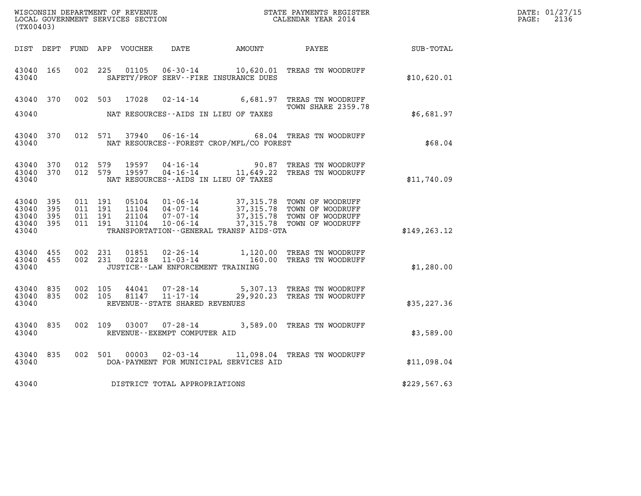| WISCONSIN DEPARTMENT OF REVENUE   | STATE PAYMENTS REGISTER | DATE: 01/27/15 |
|-----------------------------------|-------------------------|----------------|
| LOCAL GOVERNMENT SERVICES SECTION | CALENDAR YEAR 2014      | 2136<br>PAGE:  |

| (TX00403)                                         |            |                    |                    |                |                                                        | ${\tt WISCOONSIM}\xspace$ DEPARTMENT OF REVENUE $$\tt SCIMENTS}\xspace$ REGISTER LOCAL GOVERNMENT SERVICES SECTION $$\tt CALENDAR\ YEAR\ 2014$$ |                                                                                                                                                                                          | DATE: 01/27/15<br>$\mathtt{PAGE:}$<br>2136 |  |
|---------------------------------------------------|------------|--------------------|--------------------|----------------|--------------------------------------------------------|-------------------------------------------------------------------------------------------------------------------------------------------------|------------------------------------------------------------------------------------------------------------------------------------------------------------------------------------------|--------------------------------------------|--|
|                                                   |            |                    |                    |                |                                                        | DIST DEPT FUND APP VOUCHER DATE AMOUNT PAYEE                                                                                                    |                                                                                                                                                                                          | SUB-TOTAL                                  |  |
| 43040 165<br>43040                                |            |                    |                    |                |                                                        | SAFETY/PROF SERV--FIRE INSURANCE DUES                                                                                                           | 002  225  01105  06-30-14   10,620.01 TREAS TN WOODRUFF                                                                                                                                  | \$10,620.01                                |  |
|                                                   | 43040 370  |                    |                    |                |                                                        |                                                                                                                                                 | 002 503 17028 02-14-14 6,681.97 TREAS TN WOODRUFF<br><b>TOWN SHARE 2359.78</b>                                                                                                           |                                            |  |
| 43040                                             |            |                    |                    |                |                                                        | NAT RESOURCES--AIDS IN LIEU OF TAXES                                                                                                            |                                                                                                                                                                                          | \$6,681.97                                 |  |
| 43040                                             | 43040 370  |                    |                    |                |                                                        | NAT RESOURCES--FOREST CROP/MFL/CO FOREST                                                                                                        | 012 571 37940 06-16-14 68.04 TREAS TN WOODRUFF                                                                                                                                           | \$68.04                                    |  |
| 43040 370<br>43040                                | 43040 370  | 012 579            | 012 579            | 19597<br>19597 |                                                        | NAT RESOURCES--AIDS IN LIEU OF TAXES                                                                                                            | 04-16-14 90.87 TREAS TN WOODRUFF<br>04-16-14 11,649.22 TREAS TN WOODRUFF                                                                                                                 | \$11,740.09                                |  |
| 43040 395<br>43040<br>43040<br>43040 395<br>43040 | 395<br>395 | 011 191<br>011 191 | 011 191<br>011 191 |                |                                                        | TRANSPORTATION--GENERAL TRANSP AIDS-GTA                                                                                                         | 05104  01-06-14  37,315.78 TOWN OF WOODRUFF<br>11104  04-07-14  37,315.78 TOWN OF WOODRUFF<br>21104  07-07-14  37,315.78 TOWN OF WOODRUFF<br>31104  10-06-14  37,315.78 TOWN OF WOODRUFF | \$149, 263.12                              |  |
| 43040 455<br>43040 455<br>43040                   |            |                    |                    |                | JUSTICE -- LAW ENFORCEMENT TRAINING                    |                                                                                                                                                 | 002 231 01851 02-26-14 1,120.00 TREAS TN WOODRUFF 002 231 02218 11-03-14 160.00 TREAS TN WOODRUFF                                                                                        | \$1,280.00                                 |  |
| 43040 835<br>43040                                | 43040 835  | 002 105            | 002 105            |                | REVENUE - - STATE SHARED REVENUES                      |                                                                                                                                                 | $44041$ 07-28-14 5,307.13 TREAS TN WOODRUFF<br>81147 11-17-14 29,920.23 TREAS TN WOODRUFF                                                                                                | \$35, 227.36                               |  |
| 43040 835<br>43040                                |            |                    |                    |                | 002 109 03007 07-28-14<br>REVENUE--EXEMPT COMPUTER AID |                                                                                                                                                 | 3,589.00 TREAS TN WOODRUFF                                                                                                                                                               | \$3,589.00                                 |  |
| 43040<br>43040                                    | 835        |                    |                    | 002 501 00003  |                                                        | DOA-PAYMENT FOR MUNICIPAL SERVICES AID                                                                                                          | 02-03-14 11,098.04 TREAS TN WOODRUFF                                                                                                                                                     | \$11,098.04                                |  |
| 43040                                             |            |                    |                    |                | DISTRICT TOTAL APPROPRIATIONS                          |                                                                                                                                                 |                                                                                                                                                                                          | \$229,567.63                               |  |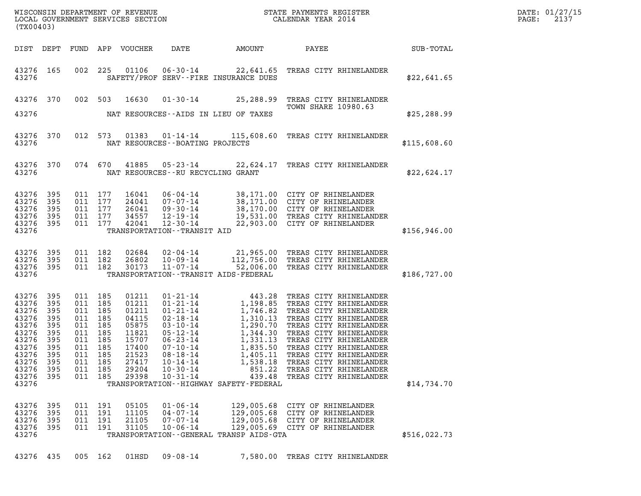| (TX00403)                                                                                                         |                                                                                  |                                                                                             |                                      | LOCAL GOVERNMENT SERVICES SECTION                                                                        |                                                                                                                                       |                                                      |                                                                                                                                                                                                                                                                                                                                                                                                 |              | DATE: 01/27/15<br>PAGE:<br>2137 |
|-------------------------------------------------------------------------------------------------------------------|----------------------------------------------------------------------------------|---------------------------------------------------------------------------------------------|--------------------------------------|----------------------------------------------------------------------------------------------------------|---------------------------------------------------------------------------------------------------------------------------------------|------------------------------------------------------|-------------------------------------------------------------------------------------------------------------------------------------------------------------------------------------------------------------------------------------------------------------------------------------------------------------------------------------------------------------------------------------------------|--------------|---------------------------------|
| DIST DEPT                                                                                                         |                                                                                  |                                                                                             |                                      | FUND APP VOUCHER                                                                                         | DATE                                                                                                                                  | AMOUNT                                               | PAYEE                                                                                                                                                                                                                                                                                                                                                                                           | SUB-TOTAL    |                                 |
| 43276 165<br>43276                                                                                                |                                                                                  |                                                                                             | 002 225                              |                                                                                                          | 01106  06-30-14<br>SAFETY/PROF SERV--FIRE INSURANCE DUES                                                                              |                                                      | 22,641.65 TREAS CITY RHINELANDER                                                                                                                                                                                                                                                                                                                                                                | \$22,641.65  |                                 |
| 43276 370                                                                                                         |                                                                                  | 002 503                                                                                     |                                      | 16630                                                                                                    |                                                                                                                                       |                                                      | 01-30-14 25,288.99 TREAS CITY RHINELANDER<br><b>TOWN SHARE 10980.63</b>                                                                                                                                                                                                                                                                                                                         |              |                                 |
| 43276                                                                                                             |                                                                                  |                                                                                             |                                      |                                                                                                          | NAT RESOURCES--AIDS IN LIEU OF TAXES                                                                                                  |                                                      |                                                                                                                                                                                                                                                                                                                                                                                                 | \$25, 288.99 |                                 |
| 43276 370<br>43276                                                                                                |                                                                                  |                                                                                             |                                      |                                                                                                          | NAT RESOURCES - - BOATING PROJECTS                                                                                                    |                                                      | 012 573 01383 01-14-14 115,608.60 TREAS CITY RHINELANDER                                                                                                                                                                                                                                                                                                                                        | \$115,608.60 |                                 |
| 43276 370<br>43276                                                                                                |                                                                                  |                                                                                             | 074 670                              | 41885                                                                                                    | NAT RESOURCES--RU RECYCLING GRANT                                                                                                     |                                                      | 05-23-14 22,624.17 TREAS CITY RHINELANDER                                                                                                                                                                                                                                                                                                                                                       | \$22,624.17  |                                 |
| 43276<br>43276<br>43276<br>43276<br>43276                                                                         | 395<br>395<br>395<br>395<br>395                                                  | 011 177<br>011 177<br>011 177                                                               | 011 177<br>011 177                   | 16041<br>24041<br>26041<br>34557<br>42041                                                                | 07-07-14<br>$09 - 30 - 14$<br>12-19-14<br>$12 - 30 - 14$                                                                              |                                                      | 06-04-14 38,171.00 CITY OF RHINELANDER<br>07-07-14 38,171.00 CITY OF RHINELANDER<br>09-30-14 38,170.00 CITY OF RHINELANDER<br>12-19-14 19,531.00 TREAS CITY RHINELANDER<br>22,903.00 CITY OF RHINELANDER                                                                                                                                                                                        |              |                                 |
| 43276                                                                                                             |                                                                                  |                                                                                             |                                      |                                                                                                          | TRANSPORTATION - - TRANSIT AID                                                                                                        |                                                      |                                                                                                                                                                                                                                                                                                                                                                                                 | \$156,946.00 |                                 |
| 43276<br>43276<br>43276<br>43276                                                                                  | 395<br>395<br>395                                                                | 011 182<br>011 182                                                                          | 011 182                              | 02684<br>26802<br>30173                                                                                  | 02-04-14<br>10-09-14<br>$11 - 07 - 14$<br>TRANSPORTATION - - TRANSIT AIDS - FEDERAL                                                   |                                                      | 21,965.00 TREAS CITY RHINELANDER<br>112,756.00 TREAS CITY RHINELANDER<br>52,006.00 TREAS CITY RHINELANDER                                                                                                                                                                                                                                                                                       | \$186,727.00 |                                 |
| 43276<br>43276<br>43276<br>43276<br>43276<br>43276<br>43276<br>43276<br>43276<br>43276<br>43276<br>43276<br>43276 | 395<br>395<br>395<br>395<br>395<br>395<br>395<br>395<br>395<br>395<br>395<br>395 | 011 185<br>011 185<br>011 185<br>011 185<br>011 185<br>011 185<br>011 185<br>011<br>011 185 | 011 185<br>185<br>011 185<br>011 185 | 01211<br>01211<br>01211<br>04115<br>05875<br>11821<br>15707<br>17400<br>21523<br>27417<br>29204<br>29398 | $07 - 10 - 14$<br>$08 - 18 - 14$<br>$10 - 14 - 14$<br>$10 - 30 - 14$<br>$10 - 31 - 14$<br>TRANSPORTATION - - HIGHWAY SAFETY - FEDERAL | 1,835.50<br>1,405.11<br>1,538.18<br>851.22<br>439.48 | 01-21-14<br>01-21-14<br>1,198.85<br>1,746.82<br>TREAS CITY RHINELANDER<br>02-18-14<br>1,310.13<br>TREAS CITY RHINELANDER<br>03-10-14<br>1,290.70<br>TREAS CITY RHINELANDER<br>05-23-14<br>1,344.30<br>TREAS CITY RHINELANDER<br>06-23-14<br>1,331.13<br>TREAS<br>TREAS CITY RHINELANDER<br>TREAS CITY RHINELANDER<br>TREAS CITY RHINELANDER<br>TREAS CITY RHINELANDER<br>TREAS CITY RHINELANDER | \$14,734.70  |                                 |
| 43276<br>43276<br>43276<br>43276<br>43276                                                                         | 395<br>395<br>395<br>395                                                         | 011 191<br>011 191                                                                          | 011 191<br>011 191                   | 05105<br>11105<br>21105<br>31105                                                                         | $01 - 06 - 14$<br>$04 - 07 - 14$<br>$07 - 07 - 14$<br>$10 - 06 - 14$<br>TRANSPORTATION--GENERAL TRANSP AIDS-GTA                       | 129,005.68<br>129,005.68                             | CITY OF RHINELANDER<br>CITY OF RHINELANDER<br>129,005.68 CITY OF RHINELANDER<br>129,005.69 CITY OF RHINELANDER                                                                                                                                                                                                                                                                                  | \$516,022.73 |                                 |

43276 435 005 162 01HSD 09-08-14 7,580.00 TREAS CITY RHINELANDER